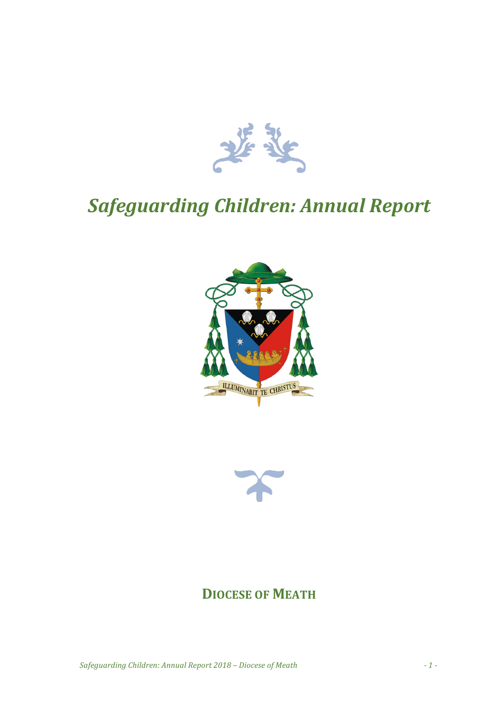

# *Safeguarding Children: Annual Report*





## **DIOCESE OF MEATH**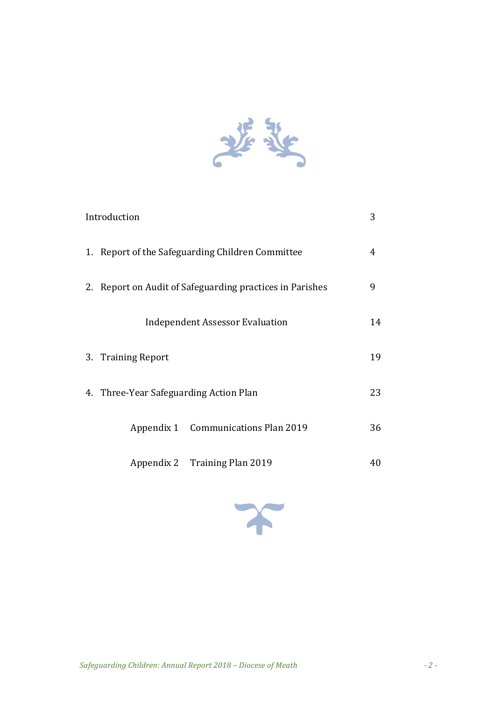

| Introduction                           |                                                          | 3  |
|----------------------------------------|----------------------------------------------------------|----|
|                                        | 1. Report of the Safeguarding Children Committee         | 4  |
|                                        | 2. Report on Audit of Safeguarding practices in Parishes | 9  |
|                                        | <b>Independent Assessor Evaluation</b>                   | 14 |
| 3. Training Report                     |                                                          | 19 |
| 4. Three-Year Safeguarding Action Plan |                                                          | 23 |
|                                        | Appendix 1 Communications Plan 2019                      | 36 |
|                                        | Appendix 2 Training Plan 2019                            | 40 |

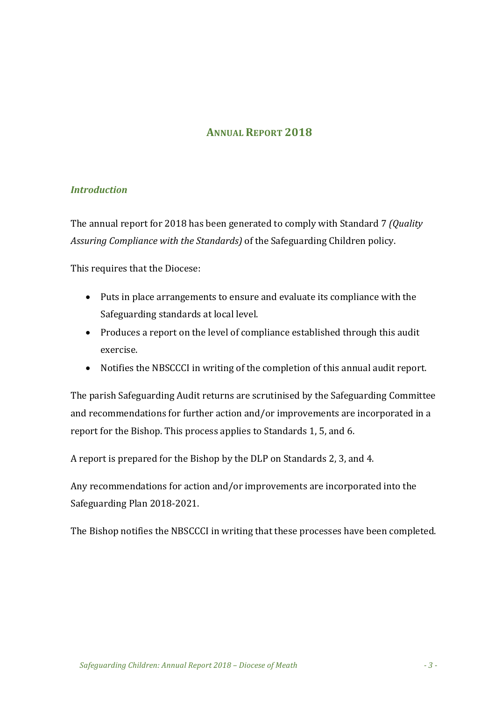#### **ANNUAL REPORT 2018**

#### *Introduction*

The annual report for 2018 has been generated to comply with Standard 7 *(Quality*) *Assuring Compliance with the Standards*) of the Safeguarding Children policy.

This requires that the Diocese:

- Puts in place arrangements to ensure and evaluate its compliance with the Safeguarding standards at local level.
- Produces a report on the level of compliance established through this audit exercise.
- Notifies the NBSCCCI in writing of the completion of this annual audit report.

The parish Safeguarding Audit returns are scrutinised by the Safeguarding Committee and recommendations for further action and/or improvements are incorporated in a report for the Bishop. This process applies to Standards 1, 5, and 6.

A report is prepared for the Bishop by the DLP on Standards 2, 3, and 4.

Any recommendations for action and/or improvements are incorporated into the Safeguarding Plan 2018-2021.

The Bishop notifies the NBSCCCI in writing that these processes have been completed.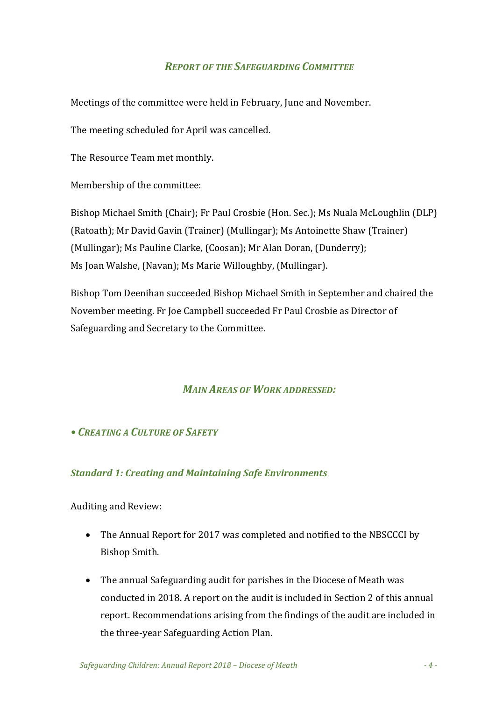#### *REPORT OF THE SAFEGUARDING COMMITTEE*

Meetings of the committee were held in February, June and November.

The meeting scheduled for April was cancelled.

The Resource Team met monthly.

Membership of the committee:

Bishop Michael Smith (Chair); Fr Paul Crosbie (Hon. Sec.); Ms Nuala McLoughlin (DLP) (Ratoath); Mr David Gavin (Trainer) (Mullingar); Ms Antoinette Shaw (Trainer) (Mullingar); Ms Pauline Clarke, (Coosan); Mr Alan Doran, (Dunderry); Ms Joan Walshe, (Navan); Ms Marie Willoughby, (Mullingar).

Bishop Tom Deenihan succeeded Bishop Michael Smith in September and chaired the November meeting. Fr Joe Campbell succeeded Fr Paul Crosbie as Director of Safeguarding and Secretary to the Committee.

## **MAIN AREAS OF WORK ADDRESSED:**

#### *• CREATING A CULTURE OF SAFETY*

#### *Standard 1: Creating and Maintaining Safe Environments*

Auditing and Review:

- The Annual Report for 2017 was completed and notified to the NBSCCCI by Bishop Smith.
- The annual Safeguarding audit for parishes in the Diocese of Meath was conducted in 2018. A report on the audit is included in Section 2 of this annual report. Recommendations arising from the findings of the audit are included in the three-year Safeguarding Action Plan.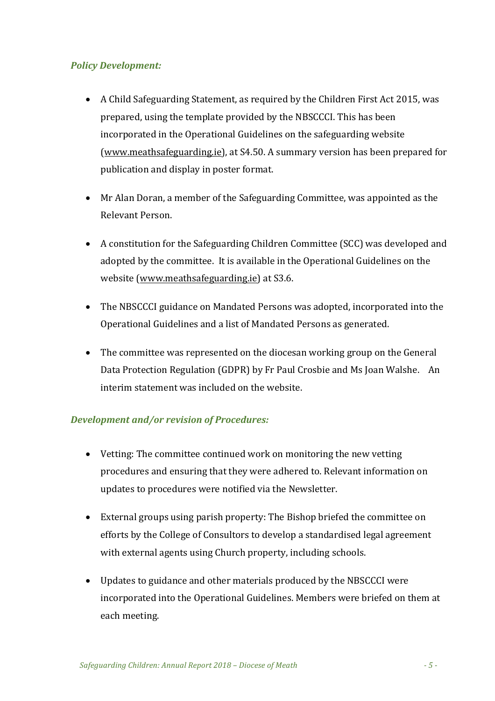#### *Policy Development:*

- A Child Safeguarding Statement, as required by the Children First Act 2015, was prepared, using the template provided by the NBSCCCI. This has been incorporated in the Operational Guidelines on the safeguarding website (www.meathsafeguarding.ie), at S4.50. A summary version has been prepared for publication and display in poster format.
- Mr Alan Doran, a member of the Safeguarding Committee, was appointed as the Relevant Person.
- A constitution for the Safeguarding Children Committee (SCC) was developed and adopted by the committee. It is available in the Operational Guidelines on the website (www.meathsafeguarding.ie) at S3.6.
- The NBSCCCI guidance on Mandated Persons was adopted, incorporated into the Operational Guidelines and a list of Mandated Persons as generated.
- The committee was represented on the diocesan working group on the General Data Protection Regulation (GDPR) by Fr Paul Crosbie and Ms Joan Walshe. An interim statement was included on the website.

#### *Development and/or revision of Procedures:*

- Vetting: The committee continued work on monitoring the new vetting procedures and ensuring that they were adhered to. Relevant information on updates to procedures were notified via the Newsletter.
- External groups using parish property: The Bishop briefed the committee on efforts by the College of Consultors to develop a standardised legal agreement with external agents using Church property, including schools.
- Updates to guidance and other materials produced by the NBSCCCI were incorporated into the Operational Guidelines. Members were briefed on them at each meeting.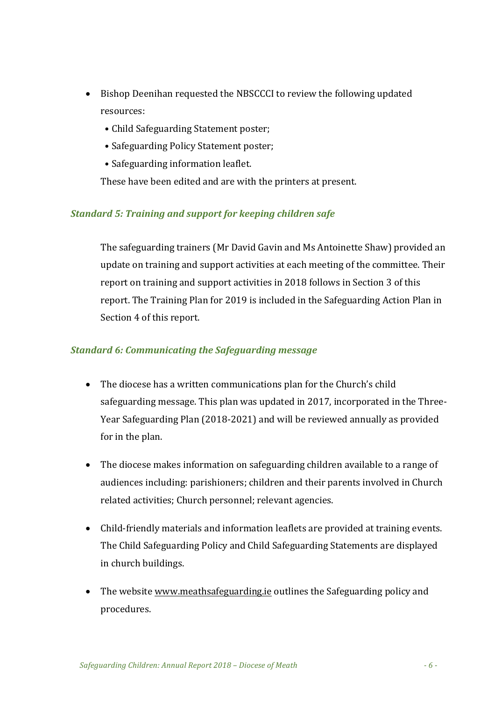- Bishop Deenihan requested the NBSCCCI to review the following updated resources:
	- Child Safeguarding Statement poster;
	- Safeguarding Policy Statement poster;
	- Safeguarding information leaflet.

These have been edited and are with the printers at present.

#### **Standard 5: Training and support for keeping children safe**

The safeguarding trainers (Mr David Gavin and Ms Antoinette Shaw) provided an update on training and support activities at each meeting of the committee. Their report on training and support activities in 2018 follows in Section 3 of this report. The Training Plan for 2019 is included in the Safeguarding Action Plan in Section 4 of this report.

#### **Standard 6: Communicating the Safeguarding message**

- The diocese has a written communications plan for the Church's child safeguarding message. This plan was updated in 2017, incorporated in the Three-Year Safeguarding Plan (2018-2021) and will be reviewed annually as provided for in the plan.
- The diocese makes information on safeguarding children available to a range of audiences including: parishioners; children and their parents involved in Church related activities; Church personnel; relevant agencies.
- Child-friendly materials and information leaflets are provided at training events. The Child Safeguarding Policy and Child Safeguarding Statements are displayed in church buildings.
- The website www.meathsafeguarding.ie outlines the Safeguarding policy and procedures.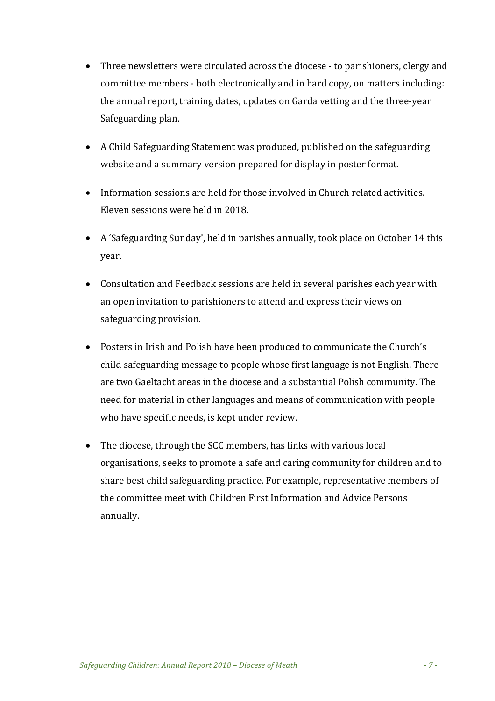- Three newsletters were circulated across the diocese to parishioners, clergy and committee members - both electronically and in hard copy, on matters including: the annual report, training dates, updates on Garda vetting and the three-year Safeguarding plan.
- A Child Safeguarding Statement was produced, published on the safeguarding website and a summary version prepared for display in poster format.
- Information sessions are held for those involved in Church related activities. Eleven sessions were held in 2018.
- A 'Safeguarding Sunday', held in parishes annually, took place on October 14 this year.
- Consultation and Feedback sessions are held in several parishes each year with an open invitation to parishioners to attend and express their views on safeguarding provision.
- Posters in Irish and Polish have been produced to communicate the Church's child safeguarding message to people whose first language is not English. There are two Gaeltacht areas in the diocese and a substantial Polish community. The need for material in other languages and means of communication with people who have specific needs, is kept under review.
- The diocese, through the SCC members, has links with various local organisations, seeks to promote a safe and caring community for children and to share best child safeguarding practice. For example, representative members of the committee meet with Children First Information and Advice Persons annually.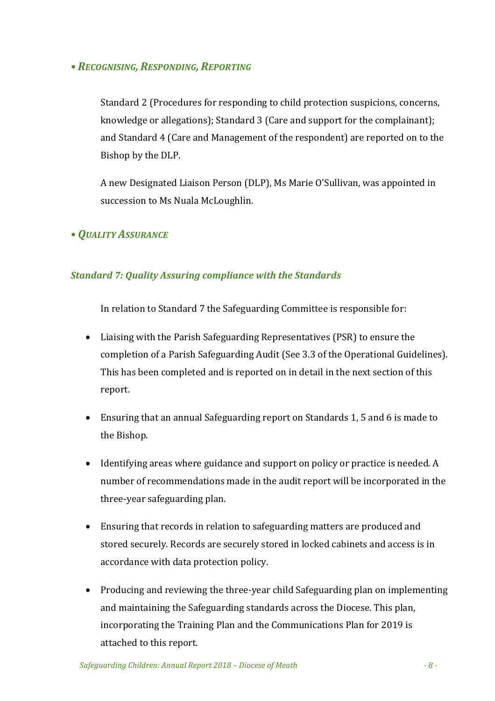#### *• RECOGNISING, RESPONDING, REPORTING*

Standard 2 (Procedures for responding to child protection suspicions, concerns, knowledge or allegations); Standard 3 (Care and support for the complainant); and Standard 4 (Care and Management of the respondent) are reported on to the Bishop by the DLP.

A new Designated Liaison Person (DLP), Ms Marie O'Sullivan, was appointed in succession to Ms Nuala McLoughlin.

#### *• QUALITY ASSURANCE*

#### *Standard 7: Quality Assuring compliance with the Standards*

In relation to Standard 7 the Safeguarding Committee is responsible for:

- Liaising with the Parish Safeguarding Representatives (PSR) to ensure the completion of a Parish Safeguarding Audit (See 3.3 of the Operational Guidelines). This has been completed and is reported on in detail in the next section of this report.
- Ensuring that an annual Safeguarding report on Standards 1, 5 and 6 is made to the Bishop.
- Identifying areas where guidance and support on policy or practice is needed. A number of recommendations made in the audit report will be incorporated in the three-year safeguarding plan.
- Ensuring that records in relation to safeguarding matters are produced and stored securely. Records are securely stored in locked cabinets and access is in accordance with data protection policy.
- Producing and reviewing the three-year child Safeguarding plan on implementing and maintaining the Safeguarding standards across the Diocese. This plan, incorporating the Training Plan and the Communications Plan for 2019 is attached to this report.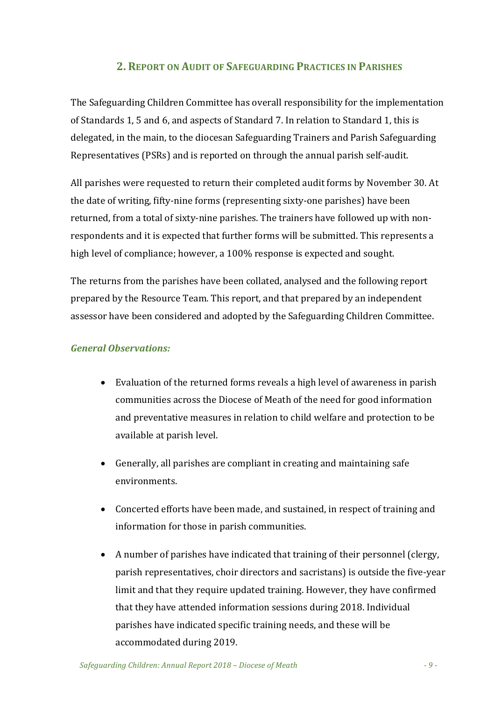### **2. REPORT ON AUDIT OF SAFEGUARDING PRACTICES IN PARISHES**

The Safeguarding Children Committee has overall responsibility for the implementation of Standards 1, 5 and 6, and aspects of Standard 7. In relation to Standard 1, this is delegated, in the main, to the diocesan Safeguarding Trainers and Parish Safeguarding Representatives (PSRs) and is reported on through the annual parish self-audit.

All parishes were requested to return their completed audit forms by November 30. At the date of writing, fifty-nine forms (representing sixty-one parishes) have been returned, from a total of sixty-nine parishes. The trainers have followed up with nonrespondents and it is expected that further forms will be submitted. This represents a high level of compliance; however, a 100% response is expected and sought.

The returns from the parishes have been collated, analysed and the following report prepared by the Resource Team. This report, and that prepared by an independent assessor have been considered and adopted by the Safeguarding Children Committee.

#### *General Observations:*

- Evaluation of the returned forms reveals a high level of awareness in parish communities across the Diocese of Meath of the need for good information and preventative measures in relation to child welfare and protection to be available at parish level.
- $\bullet$  Generally, all parishes are compliant in creating and maintaining safe environments.
- Concerted efforts have been made, and sustained, in respect of training and information for those in parish communities.
- A number of parishes have indicated that training of their personnel (clergy, parish representatives, choir directors and sacristans) is outside the five-year limit and that they require updated training. However, they have confirmed that they have attended information sessions during 2018. Individual parishes have indicated specific training needs, and these will be accommodated during 2019.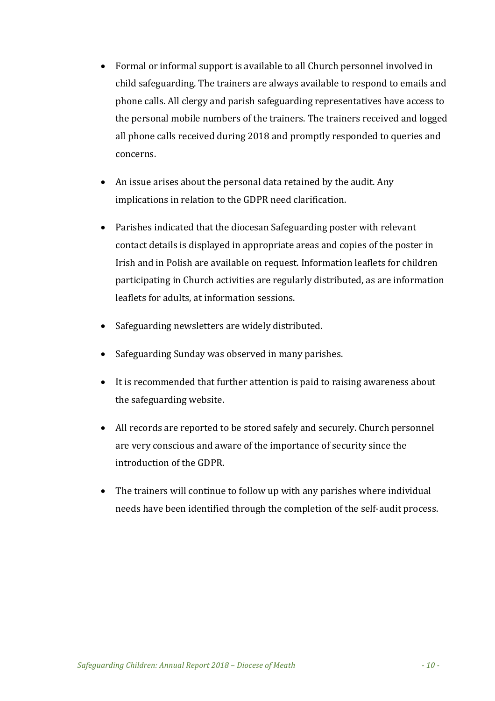- Formal or informal support is available to all Church personnel involved in child safeguarding. The trainers are always available to respond to emails and phone calls. All clergy and parish safeguarding representatives have access to the personal mobile numbers of the trainers. The trainers received and logged all phone calls received during 2018 and promptly responded to queries and concerns.
- An issue arises about the personal data retained by the audit. Any implications in relation to the GDPR need clarification.
- Parishes indicated that the diocesan Safeguarding poster with relevant contact details is displayed in appropriate areas and copies of the poster in Irish and in Polish are available on request. Information leaflets for children participating in Church activities are regularly distributed, as are information leaflets for adults, at information sessions.
- Safeguarding newsletters are widely distributed.
- Safeguarding Sunday was observed in many parishes.
- It is recommended that further attention is paid to raising awareness about the safeguarding website.
- All records are reported to be stored safely and securely. Church personnel are very conscious and aware of the importance of security since the introduction of the GDPR.
- The trainers will continue to follow up with any parishes where individual needs have been identified through the completion of the self-audit process.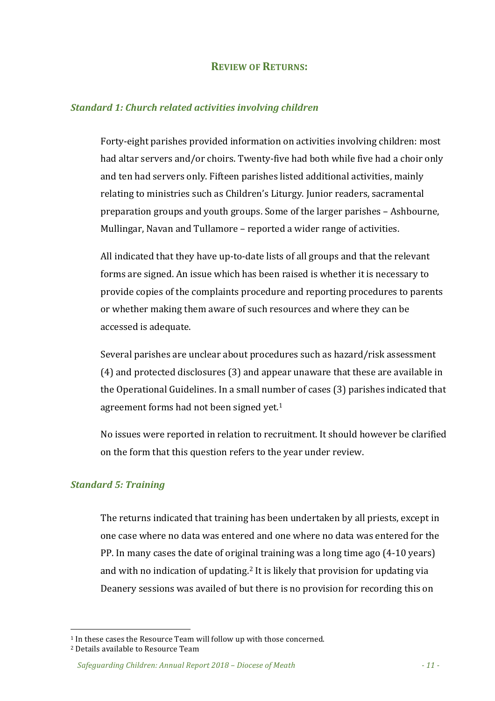#### **REVIEW OF RETURNS:**

#### *Standard 1: Church related activities involving children*

Forty-eight parishes provided information on activities involving children: most had altar servers and/or choirs. Twenty-five had both while five had a choir only and ten had servers only. Fifteen parishes listed additional activities, mainly relating to ministries such as Children's Liturgy. Junior readers, sacramental preparation groups and youth groups. Some of the larger parishes - Ashbourne, Mullingar, Navan and Tullamore – reported a wider range of activities.

All indicated that they have up-to-date lists of all groups and that the relevant forms are signed. An issue which has been raised is whether it is necessary to provide copies of the complaints procedure and reporting procedures to parents or whether making them aware of such resources and where they can be accessed is adequate.

Several parishes are unclear about procedures such as hazard/risk assessment  $(4)$  and protected disclosures  $(3)$  and appear unaware that these are available in the Operational Guidelines. In a small number of cases (3) parishes indicated that agreement forms had not been signed yet.<sup>1</sup>

No issues were reported in relation to recruitment. It should however be clarified on the form that this question refers to the year under review.

#### *Standard 5: Training*

The returns indicated that training has been undertaken by all priests, except in one case where no data was entered and one where no data was entered for the PP. In many cases the date of original training was a long time ago  $(4-10 \text{ years})$ and with no indication of updating.<sup>2</sup> It is likely that provision for updating via Deanery sessions was availed of but there is no provision for recording this on

 

 $1$  In these cases the Resource Team will follow up with those concerned. <sup>2</sup> Details available to Resource Team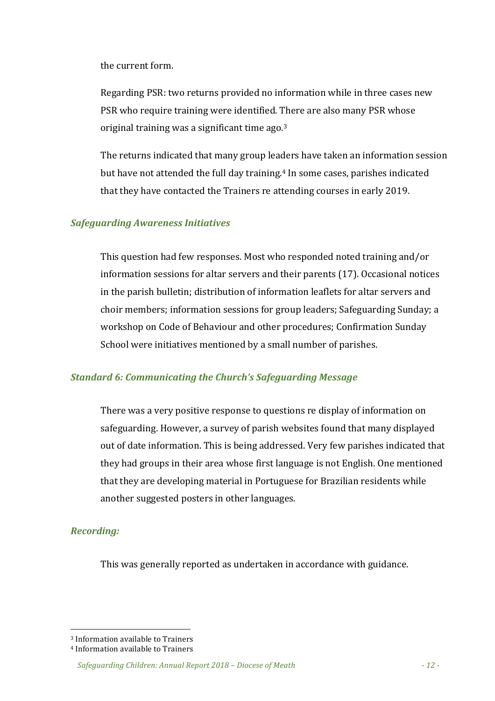the current form.

Regarding PSR: two returns provided no information while in three cases new PSR who require training were identified. There are also many PSR whose original training was a significant time  $ago^{3}$ 

The returns indicated that many group leaders have taken an information session but have not attended the full day training.<sup>4</sup> In some cases, parishes indicated that they have contacted the Trainers re attending courses in early 2019.

#### *Safeguarding Awareness Initiatives*

This question had few responses. Most who responded noted training and/or information sessions for altar servers and their parents (17). Occasional notices in the parish bulletin; distribution of information leaflets for altar servers and choir members; information sessions for group leaders; Safeguarding Sunday; a workshop on Code of Behaviour and other procedures; Confirmation Sunday School were initiatives mentioned by a small number of parishes.

#### **Standard 6: Communicating the Church's Safeguarding Message**

There was a very positive response to questions re display of information on safeguarding. However, a survey of parish websites found that many displayed out of date information. This is being addressed. Very few parishes indicated that they had groups in their area whose first language is not English. One mentioned that they are developing material in Portuguese for Brazilian residents while another suggested posters in other languages.

#### *Recording:*

This was generally reported as undertaken in accordance with guidance.

 <sup>3</sup> Information available to Trainers

<sup>&</sup>lt;sup>4</sup> Information available to Trainers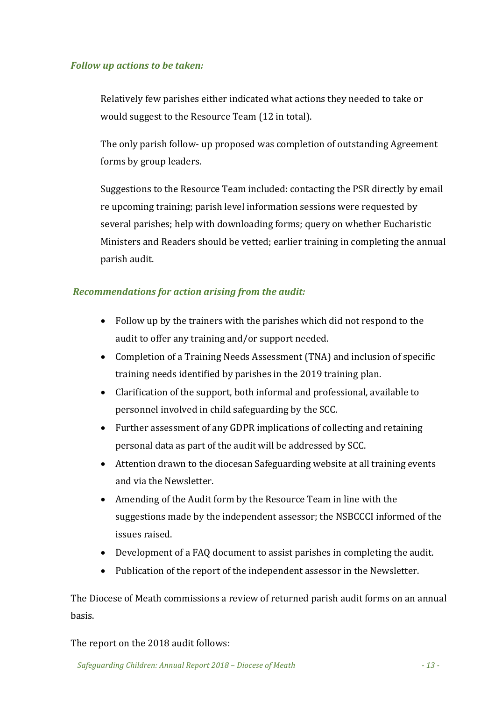#### *Follow up actions to be taken:*

Relatively few parishes either indicated what actions they needed to take or would suggest to the Resource Team (12 in total).

The only parish follow- up proposed was completion of outstanding Agreement forms by group leaders.

Suggestions to the Resource Team included: contacting the PSR directly by email re upcoming training; parish level information sessions were requested by several parishes; help with downloading forms; query on whether Eucharistic Ministers and Readers should be vetted; earlier training in completing the annual parish audit.

#### **Recommendations for action arising from the audit:**

- Follow up by the trainers with the parishes which did not respond to the audit to offer any training and/or support needed.
- Completion of a Training Needs Assessment (TNA) and inclusion of specific training needs identified by parishes in the 2019 training plan.
- Clarification of the support, both informal and professional, available to personnel involved in child safeguarding by the SCC.
- Further assessment of any GDPR implications of collecting and retaining personal data as part of the audit will be addressed by SCC.
- Attention drawn to the diocesan Safeguarding website at all training events and via the Newsletter.
- Amending of the Audit form by the Resource Team in line with the suggestions made by the independent assessor; the NSBCCCI informed of the issues raised.
- Development of a FAQ document to assist parishes in completing the audit.
- Publication of the report of the independent assessor in the Newsletter.

The Diocese of Meath commissions a review of returned parish audit forms on an annual basis. 

#### The report on the 2018 audit follows: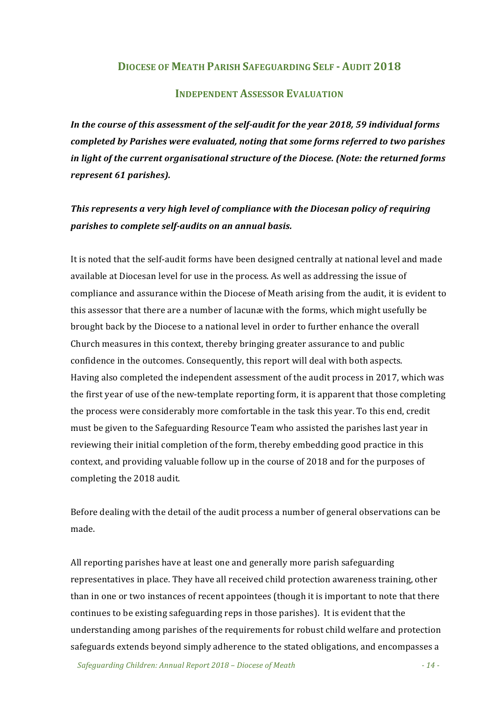#### **DIOCESE OF MEATH PARISH SAFEGUARDING SELF - AUDIT 2018**

#### **INDEPENDENT ASSESSOR EVALUATION**

In the course of this assessment of the self-audit for the year 2018, 59 individual forms *completed by Parishes were evaluated, noting that some forms referred to two parishes* in light of the current organisational structure of the Diocese. (Note: the returned forms *represent 61 parishes).*

## This represents a very high level of compliance with the Diocesan policy of requiring *parishes to complete self-audits on an annual basis.*

It is noted that the self-audit forms have been designed centrally at national level and made available at Diocesan level for use in the process. As well as addressing the issue of compliance and assurance within the Diocese of Meath arising from the audit, it is evident to this assessor that there are a number of lacunæ with the forms, which might usefully be brought back by the Diocese to a national level in order to further enhance the overall Church measures in this context, thereby bringing greater assurance to and public confidence in the outcomes. Consequently, this report will deal with both aspects. Having also completed the independent assessment of the audit process in 2017, which was the first year of use of the new-template reporting form, it is apparent that those completing the process were considerably more comfortable in the task this year. To this end, credit must be given to the Safeguarding Resource Team who assisted the parishes last year in reviewing their initial completion of the form, thereby embedding good practice in this context, and providing valuable follow up in the course of 2018 and for the purposes of completing the 2018 audit.

Before dealing with the detail of the audit process a number of general observations can be made. 

All reporting parishes have at least one and generally more parish safeguarding representatives in place. They have all received child protection awareness training, other than in one or two instances of recent appointees (though it is important to note that there continues to be existing safeguarding reps in those parishes). It is evident that the understanding among parishes of the requirements for robust child welfare and protection safeguards extends beyond simply adherence to the stated obligations, and encompasses a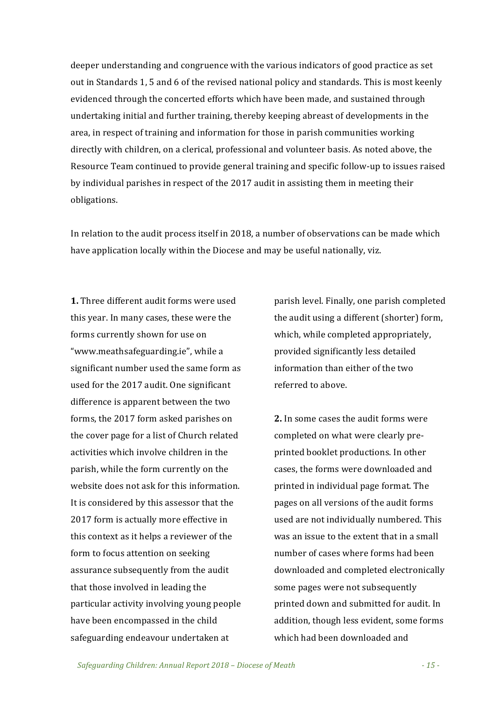deeper understanding and congruence with the various indicators of good practice as set out in Standards 1, 5 and 6 of the revised national policy and standards. This is most keenly evidenced through the concerted efforts which have been made, and sustained through undertaking initial and further training, thereby keeping abreast of developments in the area, in respect of training and information for those in parish communities working directly with children, on a clerical, professional and volunteer basis. As noted above, the Resource Team continued to provide general training and specific follow-up to issues raised by individual parishes in respect of the 2017 audit in assisting them in meeting their obligations.

In relation to the audit process itself in 2018, a number of observations can be made which have application locally within the Diocese and may be useful nationally, viz.

**1.** Three different audit forms were used this year. In many cases, these were the forms currently shown for use on "www.meathsafeguarding.ie", while a significant number used the same form as used for the 2017 audit. One significant difference is apparent between the two forms, the 2017 form asked parishes on the cover page for a list of Church related activities which involve children in the parish, while the form currently on the website does not ask for this information. It is considered by this assessor that the 2017 form is actually more effective in this context as it helps a reviewer of the form to focus attention on seeking assurance subsequently from the audit that those involved in leading the particular activity involving young people have been encompassed in the child safeguarding endeavour undertaken at

parish level. Finally, one parish completed the audit using a different (shorter) form, which, while completed appropriately, provided significantly less detailed information than either of the two referred to above.

**2.** In some cases the audit forms were completed on what were clearly preprinted booklet productions. In other cases, the forms were downloaded and printed in individual page format. The pages on all versions of the audit forms used are not individually numbered. This was an issue to the extent that in a small number of cases where forms had been downloaded and completed electronically some pages were not subsequently printed down and submitted for audit. In addition, though less evident, some forms which had been downloaded and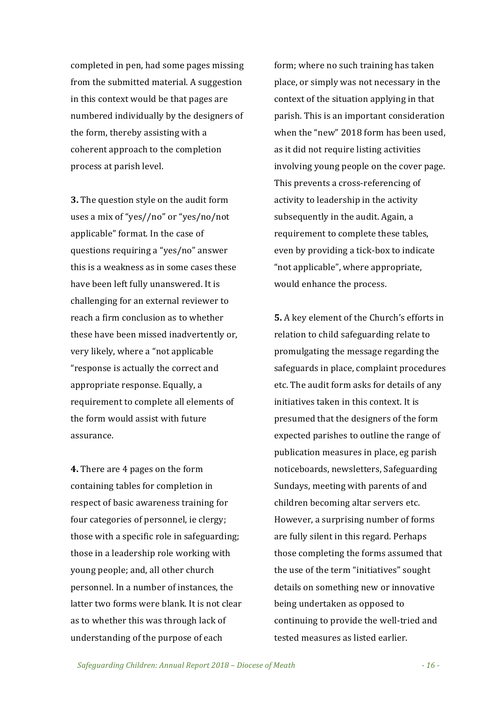completed in pen, had some pages missing from the submitted material. A suggestion in this context would be that pages are numbered individually by the designers of the form, thereby assisting with a coherent approach to the completion process at parish level.

**3.** The question style on the audit form uses a mix of "yes//no" or "yes/no/not applicable" format. In the case of questions requiring a "yes/no" answer this is a weakness as in some cases these have been left fully unanswered. It is challenging for an external reviewer to reach a firm conclusion as to whether these have been missed inadvertently or, very likely, where a "not applicable" "response is actually the correct and appropriate response. Equally, a requirement to complete all elements of the form would assist with future assurance.

**4.** There are 4 pages on the form containing tables for completion in respect of basic awareness training for four categories of personnel, ie clergy; those with a specific role in safeguarding; those in a leadership role working with young people; and, all other church personnel. In a number of instances, the latter two forms were blank. It is not clear as to whether this was through lack of understanding of the purpose of each

form; where no such training has taken place, or simply was not necessary in the context of the situation applying in that parish. This is an important consideration when the "new" 2018 form has been used, as it did not require listing activities involving young people on the cover page. This prevents a cross-referencing of activity to leadership in the activity subsequently in the audit. Again, a requirement to complete these tables, even by providing a tick-box to indicate "not applicable", where appropriate, would enhance the process.

**5.** A key element of the Church's efforts in relation to child safeguarding relate to promulgating the message regarding the safeguards in place, complaint procedures etc. The audit form asks for details of any initiatives taken in this context. It is presumed that the designers of the form expected parishes to outline the range of publication measures in place, eg parish noticeboards, newsletters, Safeguarding Sundays, meeting with parents of and children becoming altar servers etc. However, a surprising number of forms are fully silent in this regard. Perhaps those completing the forms assumed that the use of the term "initiatives" sought details on something new or innovative being undertaken as opposed to continuing to provide the well-tried and tested measures as listed earlier.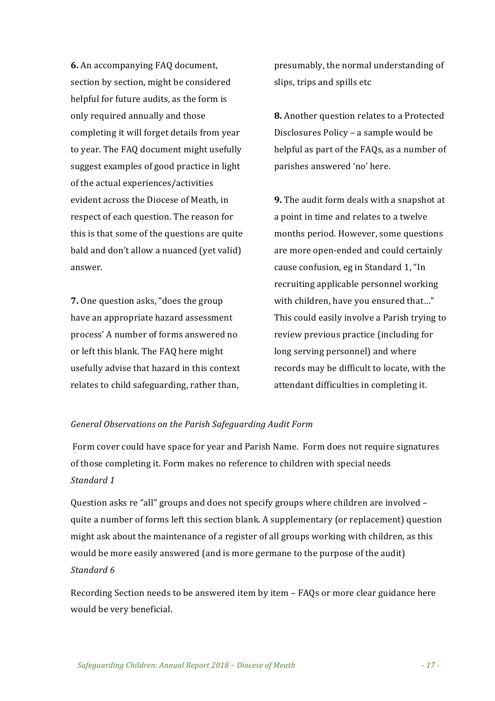**6.** An accompanying FAQ document, section by section, might be considered helpful for future audits, as the form is only required annually and those completing it will forget details from year to year. The FAQ document might usefully suggest examples of good practice in light of the actual experiences/activities evident across the Diocese of Meath, in respect of each question. The reason for this is that some of the questions are quite bald and don't allow a nuanced (yet valid) answer.

**7.** One question asks, "does the group have an appropriate hazard assessment process' A number of forms answered no or left this blank. The FAQ here might usefully advise that hazard in this context relates to child safeguarding, rather than,

presumably, the normal understanding of slips, trips and spills etc.

**8.** Another question relates to a Protected Disclosures Policy – a sample would be helpful as part of the FAQs, as a number of parishes answered 'no' here.

**9.** The audit form deals with a snapshot at a point in time and relates to a twelve months period. However, some questions are more open-ended and could certainly cause confusion, eg in Standard 1, "In recruiting applicable personnel working with children, have you ensured that..." This could easily involve a Parish trying to review previous practice (including for long serving personnel) and where records may be difficult to locate, with the attendant difficulties in completing it.

#### General Observations on the Parish Safeguarding Audit Form

Form cover could have space for year and Parish Name. Form does not require signatures of those completing it. Form makes no reference to children with special needs *Standard 1*

Question asks re "all" groups and does not specify groups where children are involved quite a number of forms left this section blank. A supplementary (or replacement) question might ask about the maintenance of a register of all groups working with children, as this would be more easily answered (and is more germane to the purpose of the audit) *Standard 6*

Recording Section needs to be answered item by item  $-$  FAQs or more clear guidance here would be very beneficial.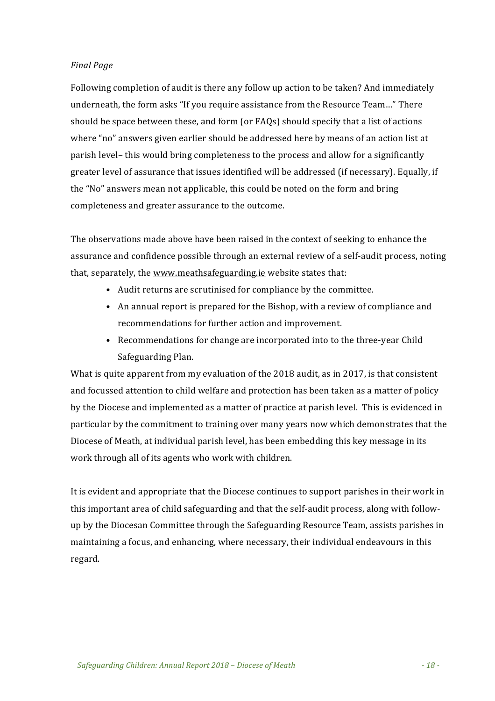#### *Final Page*

Following completion of audit is there any follow up action to be taken? And immediately underneath, the form asks "If you require assistance from the Resource Team..." There should be space between these, and form (or  $FAQs$ ) should specify that a list of actions where "no" answers given earlier should be addressed here by means of an action list at parish level- this would bring completeness to the process and allow for a significantly greater level of assurance that issues identified will be addressed (if necessary). Equally, if the "No" answers mean not applicable, this could be noted on the form and bring completeness and greater assurance to the outcome.

The observations made above have been raised in the context of seeking to enhance the assurance and confidence possible through an external review of a self-audit process, noting that, separately, the www.meathsafeguarding.ie website states that:

- Audit returns are scrutinised for compliance by the committee.
- An annual report is prepared for the Bishop, with a review of compliance and recommendations for further action and improvement.
- Recommendations for change are incorporated into to the three-year Child Safeguarding Plan.

What is quite apparent from my evaluation of the 2018 audit, as in 2017, is that consistent and focussed attention to child welfare and protection has been taken as a matter of policy by the Diocese and implemented as a matter of practice at parish level. This is evidenced in particular by the commitment to training over many years now which demonstrates that the Diocese of Meath, at individual parish level, has been embedding this key message in its work through all of its agents who work with children.

It is evident and appropriate that the Diocese continues to support parishes in their work in this important area of child safeguarding and that the self-audit process, along with followup by the Diocesan Committee through the Safeguarding Resource Team, assists parishes in maintaining a focus, and enhancing, where necessary, their individual endeavours in this regard.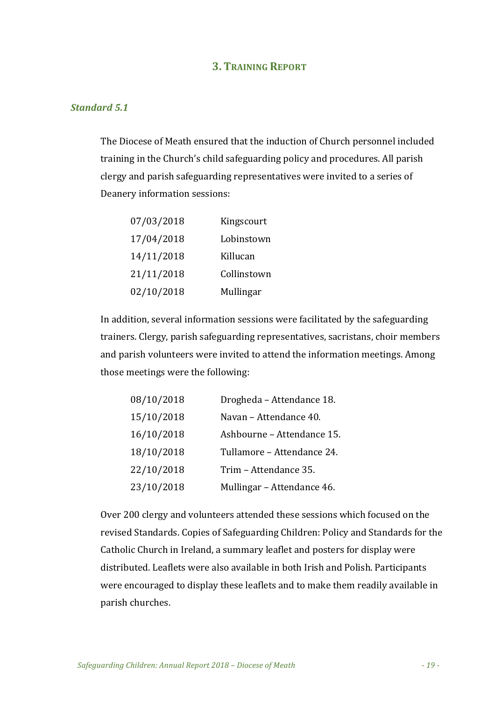#### **3. TRAINING REPORT**

#### *Standard 5.1*

The Diocese of Meath ensured that the induction of Church personnel included training in the Church's child safeguarding policy and procedures. All parish clergy and parish safeguarding representatives were invited to a series of Deanery information sessions:

| 07/03/2018 | Kingscourt  |
|------------|-------------|
| 17/04/2018 | Lobinstown  |
| 14/11/2018 | Killucan    |
| 21/11/2018 | Collinstown |
| 02/10/2018 | Mullingar   |

In addition, several information sessions were facilitated by the safeguarding trainers. Clergy, parish safeguarding representatives, sacristans, choir members and parish volunteers were invited to attend the information meetings. Among those meetings were the following:

| 08/10/2018 | Drogheda - Attendance 18.  |
|------------|----------------------------|
| 15/10/2018 | Navan - Attendance 40.     |
| 16/10/2018 | Ashbourne - Attendance 15. |
| 18/10/2018 | Tullamore - Attendance 24. |
| 22/10/2018 | Trim - Attendance 35.      |
| 23/10/2018 | Mullingar - Attendance 46. |

Over 200 clergy and volunteers attended these sessions which focused on the revised Standards. Copies of Safeguarding Children: Policy and Standards for the Catholic Church in Ireland, a summary leaflet and posters for display were distributed. Leaflets were also available in both Irish and Polish. Participants were encouraged to display these leaflets and to make them readily available in parish churches.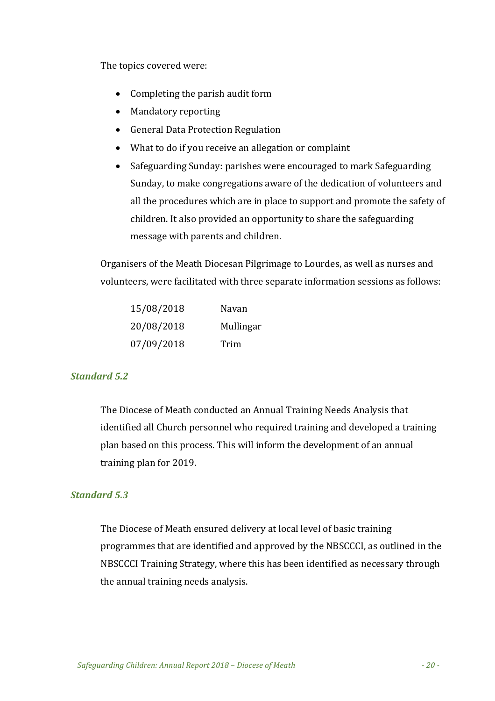The topics covered were:

- $\bullet$  Completing the parish audit form
- Mandatory reporting
- General Data Protection Regulation
- What to do if you receive an allegation or complaint
- Safeguarding Sunday: parishes were encouraged to mark Safeguarding Sunday, to make congregations aware of the dedication of volunteers and all the procedures which are in place to support and promote the safety of children. It also provided an opportunity to share the safeguarding message with parents and children.

Organisers of the Meath Diocesan Pilgrimage to Lourdes, as well as nurses and volunteers, were facilitated with three separate information sessions as follows:

| 15/08/2018 | Navan     |
|------------|-----------|
| 20/08/2018 | Mullingar |
| 07/09/2018 | Trim      |

#### *Standard 5.2*

The Diocese of Meath conducted an Annual Training Needs Analysis that identified all Church personnel who required training and developed a training plan based on this process. This will inform the development of an annual training plan for 2019.

#### *Standard 5.3*

The Diocese of Meath ensured delivery at local level of basic training programmes that are identified and approved by the NBSCCCI, as outlined in the NBSCCCI Training Strategy, where this has been identified as necessary through the annual training needs analysis.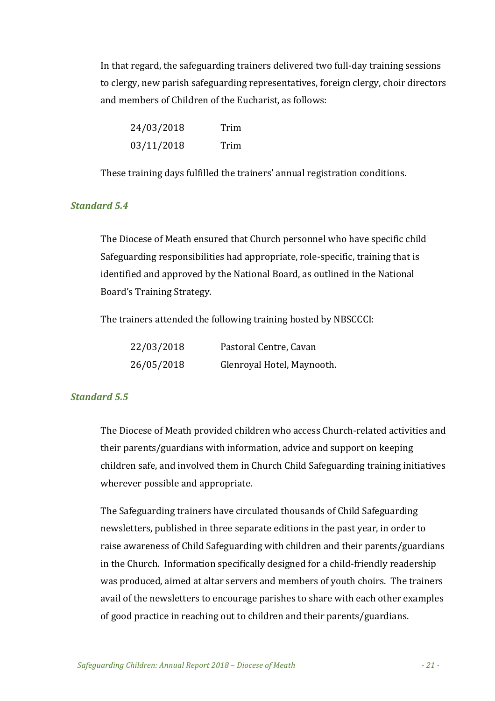In that regard, the safeguarding trainers delivered two full-day training sessions to clergy, new parish safeguarding representatives, foreign clergy, choir directors and members of Children of the Eucharist, as follows:

| 24/03/2018 | Trim |
|------------|------|
| 03/11/2018 | Trim |

These training days fulfilled the trainers' annual registration conditions.

#### *Standard 5.4*

The Diocese of Meath ensured that Church personnel who have specific child Safeguarding responsibilities had appropriate, role-specific, training that is identified and approved by the National Board, as outlined in the National Board's Training Strategy.

The trainers attended the following training hosted by NBSCCCI:

| 22/03/2018 | Pastoral Centre, Cavan     |
|------------|----------------------------|
| 26/05/2018 | Glenroyal Hotel, Maynooth. |

#### *Standard 5.5*

The Diocese of Meath provided children who access Church-related activities and their parents/guardians with information, advice and support on keeping children safe, and involved them in Church Child Safeguarding training initiatives wherever possible and appropriate.

The Safeguarding trainers have circulated thousands of Child Safeguarding newsletters, published in three separate editions in the past year, in order to raise awareness of Child Safeguarding with children and their parents/guardians in the Church. Information specifically designed for a child-friendly readership was produced, aimed at altar servers and members of youth choirs. The trainers avail of the newsletters to encourage parishes to share with each other examples of good practice in reaching out to children and their parents/guardians.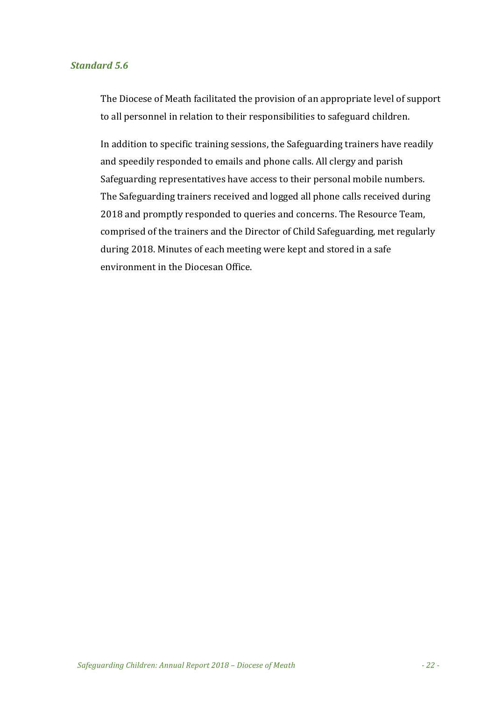#### *Standard 5.6*

The Diocese of Meath facilitated the provision of an appropriate level of support to all personnel in relation to their responsibilities to safeguard children.

In addition to specific training sessions, the Safeguarding trainers have readily and speedily responded to emails and phone calls. All clergy and parish Safeguarding representatives have access to their personal mobile numbers. The Safeguarding trainers received and logged all phone calls received during 2018 and promptly responded to queries and concerns. The Resource Team, comprised of the trainers and the Director of Child Safeguarding, met regularly during 2018. Minutes of each meeting were kept and stored in a safe environment in the Diocesan Office.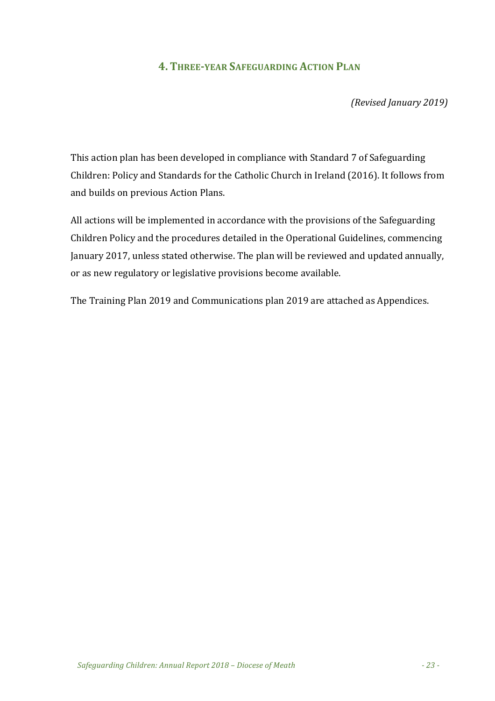#### **4. THREE-YEAR SAFEGUARDING ACTION PLAN**

*(Revised January 2019)*

This action plan has been developed in compliance with Standard 7 of Safeguarding Children: Policy and Standards for the Catholic Church in Ireland (2016). It follows from and builds on previous Action Plans.

All actions will be implemented in accordance with the provisions of the Safeguarding Children Policy and the procedures detailed in the Operational Guidelines, commencing January 2017, unless stated otherwise. The plan will be reviewed and updated annually, or as new regulatory or legislative provisions become available.

The Training Plan 2019 and Communications plan 2019 are attached as Appendices.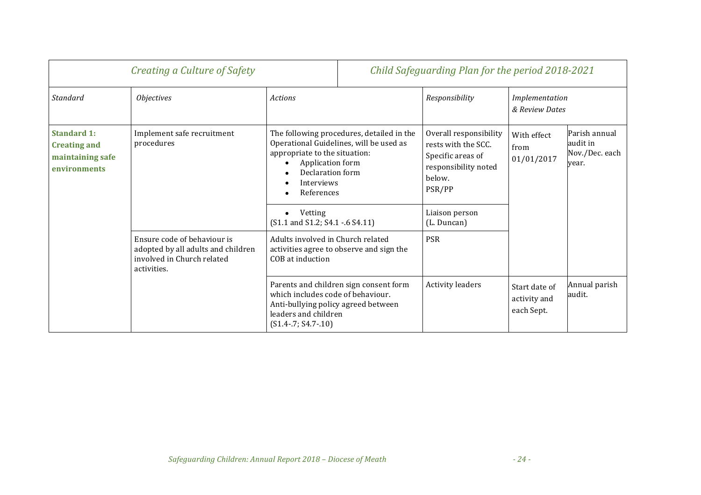| Creating a Culture of Safety                                                  |                                                                                                                |                                                                                                                                                                                           | Child Safeguarding Plan for the period 2018-2021 |                                                                                                                |                                             |                                                      |  |
|-------------------------------------------------------------------------------|----------------------------------------------------------------------------------------------------------------|-------------------------------------------------------------------------------------------------------------------------------------------------------------------------------------------|--------------------------------------------------|----------------------------------------------------------------------------------------------------------------|---------------------------------------------|------------------------------------------------------|--|
| Standard                                                                      | <i><b>Objectives</b></i>                                                                                       | Actions                                                                                                                                                                                   |                                                  | Responsibility                                                                                                 | & Review Dates                              | Implementation                                       |  |
| <b>Standard 1:</b><br><b>Creating and</b><br>maintaining safe<br>environments | Implement safe recruitment<br>procedures                                                                       | The following procedures, detailed in the<br>Operational Guidelines, will be used as<br>appropriate to the situation:<br>Application form<br>Declaration form<br>Interviews<br>References |                                                  | Overall responsibility<br>rests with the SCC.<br>Specific areas of<br>responsibility noted<br>below.<br>PSR/PP | With effect<br>from<br>01/01/2017           | Parish annual<br>audit in<br>Nov./Dec. each<br>year. |  |
|                                                                               |                                                                                                                | Vetting<br>(S1.1 and S1.2; S4.1 - 6 S4.11)                                                                                                                                                |                                                  | Liaison person<br>(L. Duncan)                                                                                  |                                             |                                                      |  |
|                                                                               | Ensure code of behaviour is<br>adopted by all adults and children<br>involved in Church related<br>activities. | Adults involved in Church related<br>activities agree to observe and sign the<br>COB at induction                                                                                         |                                                  | PSR                                                                                                            |                                             |                                                      |  |
|                                                                               |                                                                                                                | which includes code of behaviour.<br>Anti-bullying policy agreed between<br>leaders and children<br>$(S1.4 - 7; S4.7 - 10)$                                                               | Parents and children sign consent form           | <b>Activity leaders</b>                                                                                        | Start date of<br>activity and<br>each Sept. | Annual parish<br>audit.                              |  |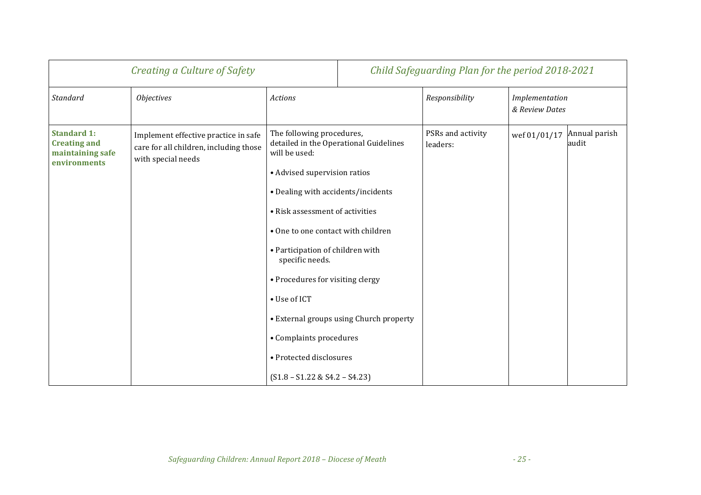| Creating a Culture of Safety                                                  |                                                                                                      |                                                                                                                                                                                                                                                                                                                                                                                               | Child Safeguarding Plan for the period 2018-2021                                  |                               |                                  |                        |
|-------------------------------------------------------------------------------|------------------------------------------------------------------------------------------------------|-----------------------------------------------------------------------------------------------------------------------------------------------------------------------------------------------------------------------------------------------------------------------------------------------------------------------------------------------------------------------------------------------|-----------------------------------------------------------------------------------|-------------------------------|----------------------------------|------------------------|
| Standard                                                                      | <b>Objectives</b>                                                                                    | <b>Actions</b>                                                                                                                                                                                                                                                                                                                                                                                |                                                                                   | Responsibility                | Implementation<br>& Review Dates |                        |
| <b>Standard 1:</b><br><b>Creating and</b><br>maintaining safe<br>environments | Implement effective practice in safe<br>care for all children, including those<br>with special needs | The following procedures,<br>will be used:<br>• Advised supervision ratios<br>• Dealing with accidents/incidents<br>• Risk assessment of activities<br>• One to one contact with children<br>• Participation of children with<br>specific needs.<br>• Procedures for visiting clergy<br>• Use of ICT<br>• Complaints procedures<br>• Protected disclosures<br>$(S1.8 - S1.22 & S4.2 - S4.23)$ | detailed in the Operational Guidelines<br>• External groups using Church property | PSRs and activity<br>leaders: | wef 01/01/17                     | Annual parish<br>audit |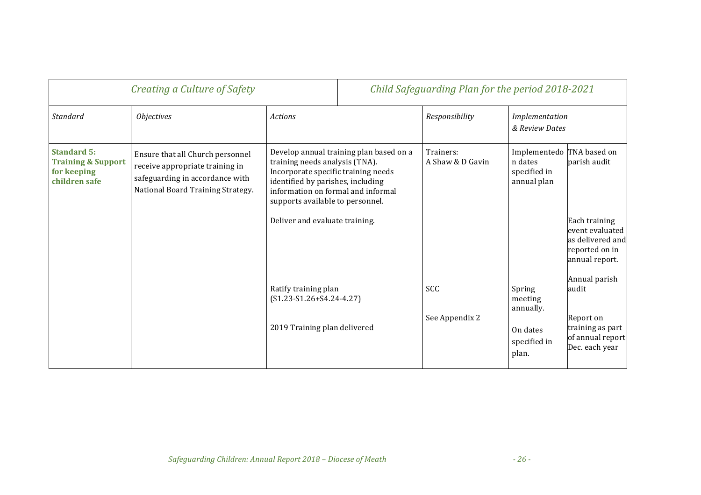| Creating a Culture of Safety                                                        |                                                                                                                                             |                                                                                                                                                                                                                                                                   | Child Safeguarding Plan for the period 2018-2021 |                               |                                                                     |                                                                                                          |
|-------------------------------------------------------------------------------------|---------------------------------------------------------------------------------------------------------------------------------------------|-------------------------------------------------------------------------------------------------------------------------------------------------------------------------------------------------------------------------------------------------------------------|--------------------------------------------------|-------------------------------|---------------------------------------------------------------------|----------------------------------------------------------------------------------------------------------|
| Standard                                                                            | <i><b>Objectives</b></i>                                                                                                                    | <b>Actions</b>                                                                                                                                                                                                                                                    |                                                  | Responsibility                | Implementation<br>& Review Dates                                    |                                                                                                          |
| <b>Standard 5:</b><br><b>Training &amp; Support</b><br>for keeping<br>children safe | Ensure that all Church personnel<br>receive appropriate training in<br>safeguarding in accordance with<br>National Board Training Strategy. | Develop annual training plan based on a<br>training needs analysis (TNA).<br>Incorporate specific training needs<br>identified by parishes, including<br>information on formal and informal<br>supports available to personnel.<br>Deliver and evaluate training. |                                                  | Trainers:<br>A Shaw & D Gavin | Implementedo TNA based on<br>n dates<br>specified in<br>annual plan | parish audit<br>Each training<br>event evaluated<br>as delivered and<br>reported on in<br>annual report. |
|                                                                                     |                                                                                                                                             | Ratify training plan<br>$(S1.23-S1.26+S4.24-4.27)$<br>2019 Training plan delivered                                                                                                                                                                                |                                                  | SCC<br>See Appendix 2         | Spring<br>meeting<br>annually.<br>On dates                          | Annual parish<br>audit<br>Report on<br>training as part                                                  |
|                                                                                     |                                                                                                                                             |                                                                                                                                                                                                                                                                   |                                                  |                               | specified in<br>plan.                                               | of annual report<br>Dec. each year                                                                       |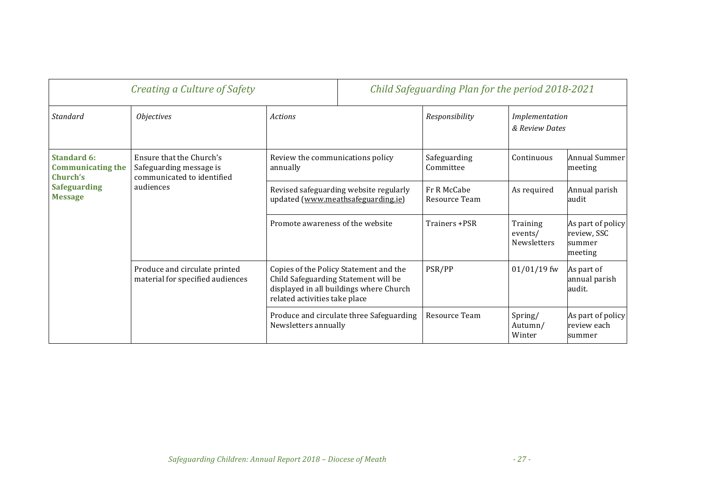| Creating a Culture of Safety                                                                                                                                                                                                                                                                        |                                                                                   |                                                                              |                                                               | Child Safeguarding Plan for the period 2018-2021 |                                            |                                                       |
|-----------------------------------------------------------------------------------------------------------------------------------------------------------------------------------------------------------------------------------------------------------------------------------------------------|-----------------------------------------------------------------------------------|------------------------------------------------------------------------------|---------------------------------------------------------------|--------------------------------------------------|--------------------------------------------|-------------------------------------------------------|
| Standard                                                                                                                                                                                                                                                                                            | <i><b>Objectives</b></i>                                                          | <b>Actions</b>                                                               |                                                               | Responsibility                                   | Implementation<br>& Review Dates           |                                                       |
| <b>Standard 6:</b><br><b>Communicating the</b><br>Church's                                                                                                                                                                                                                                          | Ensure that the Church's<br>Safeguarding message is<br>communicated to identified | annually                                                                     | Review the communications policy<br>Safeguarding<br>Committee |                                                  | Continuous                                 | Annual Summer<br>meeting                              |
| <b>Safeguarding</b><br><b>Message</b>                                                                                                                                                                                                                                                               | audiences                                                                         | Revised safeguarding website regularly<br>updated (www.meathsafeguarding.ie) |                                                               | Fr R McCabe<br>Resource Team                     | As required                                | Annual parish<br>audit                                |
|                                                                                                                                                                                                                                                                                                     |                                                                                   | Promote awareness of the website                                             |                                                               | Trainers +PSR                                    | Training<br>events/<br><b>Newsletters</b>  | As part of policy<br>review, SSC<br>summer<br>meeting |
| Produce and circulate printed<br>Copies of the Policy Statement and the<br>material for specified audiences<br>Child Safeguarding Statement will be<br>displayed in all buildings where Church<br>related activities take place<br>Produce and circulate three Safeguarding<br>Newsletters annually |                                                                                   |                                                                              |                                                               | PSR/PP                                           | $01/01/19$ fw                              | As part of<br>annual parish<br>audit.                 |
|                                                                                                                                                                                                                                                                                                     |                                                                                   |                                                                              | Resource Team                                                 | Spring/<br>Autumn/<br>Winter                     | As part of policy<br>review each<br>summer |                                                       |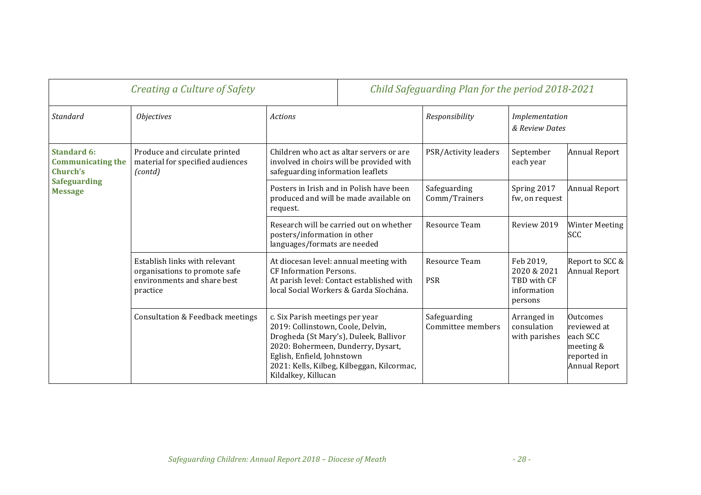| Creating a Culture of Safety                                                                        |                                                                                                           |                                                                                                                                                                                                                                                         | Child Safeguarding Plan for the period 2018-2021                                                                          |                                   |                                                                   |                                                                                         |  |
|-----------------------------------------------------------------------------------------------------|-----------------------------------------------------------------------------------------------------------|---------------------------------------------------------------------------------------------------------------------------------------------------------------------------------------------------------------------------------------------------------|---------------------------------------------------------------------------------------------------------------------------|-----------------------------------|-------------------------------------------------------------------|-----------------------------------------------------------------------------------------|--|
| Standard                                                                                            | <i><b>Objectives</b></i>                                                                                  | <b>Actions</b>                                                                                                                                                                                                                                          |                                                                                                                           | Responsibility                    | Implementation<br>& Review Dates                                  |                                                                                         |  |
| <b>Standard 6:</b><br><b>Communicating the</b><br>Church's<br><b>Safeguarding</b><br><b>Message</b> | Produce and circulate printed<br>material for specified audiences<br>(contd)                              |                                                                                                                                                                                                                                                         | Children who act as altar servers or are<br>involved in choirs will be provided with<br>safeguarding information leaflets |                                   | September<br>each year                                            | <b>Annual Report</b>                                                                    |  |
|                                                                                                     |                                                                                                           | Posters in Irish and in Polish have been<br>produced and will be made available on<br>request.                                                                                                                                                          |                                                                                                                           | Safeguarding<br>Comm/Trainers     | Spring 2017<br>fw, on request                                     | <b>Annual Report</b>                                                                    |  |
|                                                                                                     |                                                                                                           | Research will be carried out on whether<br>posters/information in other<br>languages/formats are needed                                                                                                                                                 |                                                                                                                           | Resource Team                     | Review 2019                                                       | <b>Winter Meeting</b><br><b>SCC</b>                                                     |  |
|                                                                                                     | Establish links with relevant<br>organisations to promote safe<br>environments and share best<br>practice | At diocesan level: annual meeting with<br><b>CF Information Persons.</b><br>At parish level: Contact established with<br>local Social Workers & Garda Síochána.                                                                                         |                                                                                                                           | Resource Team<br><b>PSR</b>       | Feb 2019,<br>2020 & 2021<br>TBD with CF<br>information<br>persons | Report to SCC &<br><b>Annual Report</b>                                                 |  |
|                                                                                                     | Consultation & Feedback meetings                                                                          | c. Six Parish meetings per year<br>2019: Collinstown, Coole, Delvin,<br>Drogheda (St Mary's), Duleek, Ballivor<br>2020: Bohermeen, Dunderry, Dysart,<br>Eglish, Enfield, Johnstown<br>2021: Kells, Kilbeg, Kilbeggan, Kilcormac,<br>Kildalkey, Killucan |                                                                                                                           | Safeguarding<br>Committee members | Arranged in<br>consulation<br>with parishes                       | Outcomes<br>reviewed at<br>each SCC<br>meeting &<br>reported in<br><b>Annual Report</b> |  |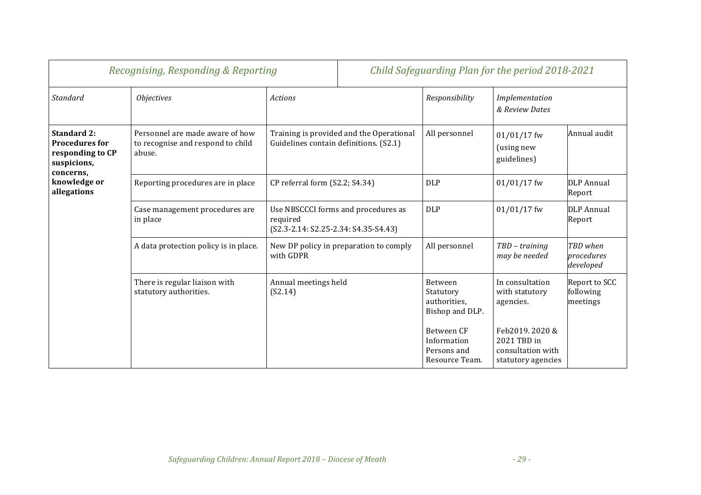| Recognising, Responding & Reporting                                                         |                                                                                |                                                                                           |  | Child Safeguarding Plan for the period 2018-2021           |                                                                         |                                        |
|---------------------------------------------------------------------------------------------|--------------------------------------------------------------------------------|-------------------------------------------------------------------------------------------|--|------------------------------------------------------------|-------------------------------------------------------------------------|----------------------------------------|
| Standard                                                                                    | <i><b>Objectives</b></i>                                                       | <b>Actions</b>                                                                            |  | Responsibility                                             | Implementation<br>& Review Dates                                        |                                        |
| <b>Standard 2:</b><br><b>Procedures for</b><br>responding to CP<br>suspicions,<br>concerns, | Personnel are made aware of how<br>to recognise and respond to child<br>abuse. | Training is provided and the Operational<br>Guidelines contain definitions. (S2.1)        |  | All personnel                                              | $01/01/17$ fw<br>(using new<br>guidelines)                              | Annual audit                           |
| knowledge or<br>allegations                                                                 | Reporting procedures are in place                                              | CP referral form (S2.2; S4.34)                                                            |  | <b>DLP</b>                                                 | $01/01/17$ fw                                                           | <b>DLP</b> Annual<br>Report            |
|                                                                                             | Case management procedures are<br>in place                                     | Use NBSCCCI forms and procedures as<br>required<br>$(S2.3-2.14: S2.25-2.34: S4.35-S4.43)$ |  | <b>DLP</b>                                                 | $01/01/17$ fw                                                           | <b>DLP</b> Annual<br>Report            |
|                                                                                             | A data protection policy is in place.                                          | New DP policy in preparation to comply<br>with GDPR                                       |  | All personnel                                              | TBD - training<br>may be needed                                         | TBD when<br>procedures<br>developed    |
|                                                                                             | There is regular liaison with<br>statutory authorities.                        | Annual meetings held<br>(S2.14)                                                           |  | Between<br>Statutory<br>authorities,<br>Bishop and DLP.    | In consultation<br>with statutory<br>agencies.                          | Report to SCC<br>following<br>meetings |
|                                                                                             |                                                                                |                                                                                           |  | Between CF<br>Information<br>Persons and<br>Resource Team. | Feb2019.2020&<br>2021 TBD in<br>consultation with<br>statutory agencies |                                        |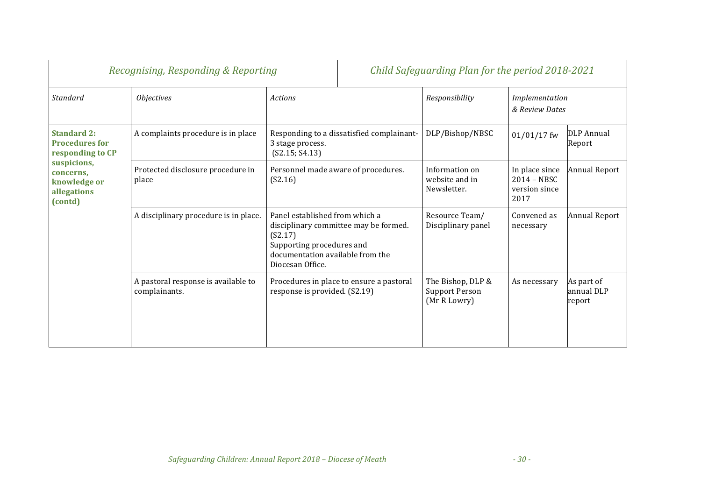| Recognising, Responding & Reporting                                                                                                   |                                                      | Child Safeguarding Plan for the period 2018-2021                                                                                                                        |  |                                                            |                                                        |                                    |
|---------------------------------------------------------------------------------------------------------------------------------------|------------------------------------------------------|-------------------------------------------------------------------------------------------------------------------------------------------------------------------------|--|------------------------------------------------------------|--------------------------------------------------------|------------------------------------|
| Standard                                                                                                                              | <b>Objectives</b>                                    | <b>Actions</b>                                                                                                                                                          |  | Responsibility                                             | Implementation<br>& Review Dates                       |                                    |
| <b>Standard 2:</b><br><b>Procedures for</b><br>responding to CP<br>suspicions,<br>concerns,<br>knowledge or<br>allegations<br>(contd) | A complaints procedure is in place                   | Responding to a dissatisfied complainant-<br>3 stage process.<br>(S2.15; S4.13)                                                                                         |  | DLP/Bishop/NBSC                                            | $01/01/17$ fw                                          | DLP Annual<br>Report               |
|                                                                                                                                       | Protected disclosure procedure in<br>place           | Personnel made aware of procedures.<br>(S2.16)                                                                                                                          |  | Information on<br>website and in<br>Newsletter.            | In place since<br>2014 - NBSC<br>version since<br>2017 | <b>Annual Report</b>               |
|                                                                                                                                       | A disciplinary procedure is in place.                | Panel established from which a<br>disciplinary committee may be formed.<br>(S2.17)<br>Supporting procedures and<br>documentation available from the<br>Diocesan Office. |  | Resource Team/<br>Disciplinary panel                       | Convened as<br>necessary                               | <b>Annual Report</b>               |
|                                                                                                                                       | A pastoral response is available to<br>complainants. | Procedures in place to ensure a pastoral<br>response is provided. (S2.19)                                                                                               |  | The Bishop, DLP &<br><b>Support Person</b><br>(Mr R Lowry) | As necessary                                           | As part of<br>annual DLP<br>report |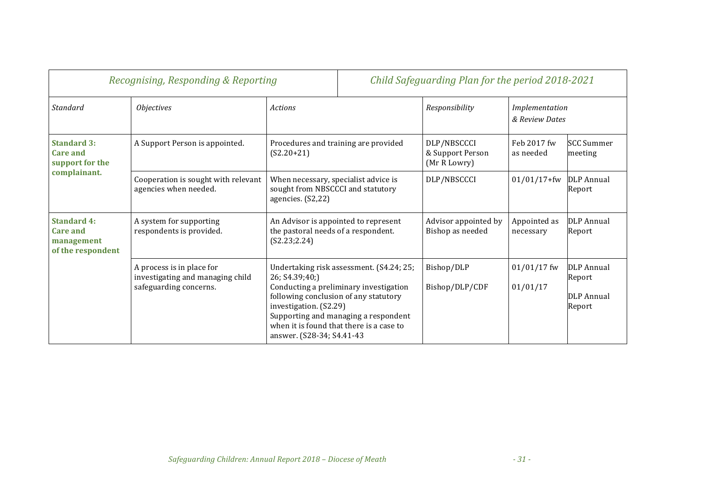|                                                                          | Recognising, Responding & Reporting                                                     |                                                                                                                                                             |                                                                                                                            | Child Safeguarding Plan for the period 2018-2021 |                                  |                                                            |
|--------------------------------------------------------------------------|-----------------------------------------------------------------------------------------|-------------------------------------------------------------------------------------------------------------------------------------------------------------|----------------------------------------------------------------------------------------------------------------------------|--------------------------------------------------|----------------------------------|------------------------------------------------------------|
| Standard                                                                 | <i><b>Objectives</b></i>                                                                | <b>Actions</b>                                                                                                                                              |                                                                                                                            | Responsibility                                   | Implementation<br>& Review Dates |                                                            |
| <b>Standard 3:</b><br><b>Care and</b><br>support for the<br>complainant. | A Support Person is appointed.                                                          | Procedures and training are provided<br>$(S2.20+21)$                                                                                                        |                                                                                                                            | DLP/NBSCCCI<br>& Support Person<br>(Mr R Lowry)  | Feb 2017 fw<br>as needed         | <b>SCC Summer</b><br>meeting                               |
|                                                                          | Cooperation is sought with relevant<br>agencies when needed.                            | When necessary, specialist advice is<br>sought from NBSCCCI and statutory<br>agencies. (S2,22)                                                              |                                                                                                                            | DLP/NBSCCCI                                      | $01/01/17 + fw$                  | DLP Annual<br>Report                                       |
| <b>Standard 4:</b><br><b>Care and</b><br>management<br>of the respondent | A system for supporting<br>respondents is provided.                                     | An Advisor is appointed to represent<br>the pastoral needs of a respondent.<br>(S2.23; 2.24)                                                                |                                                                                                                            | Advisor appointed by<br>Bishop as needed         | Appointed as<br>necessary        | <b>DLP</b> Annual<br>Report                                |
|                                                                          | A process is in place for<br>investigating and managing child<br>safeguarding concerns. | 26; S4.39;40;)<br>following conclusion of any statutory<br>investigation. (S2.29)<br>when it is found that there is a case to<br>answer. (S28-34; S4.41-43) | Undertaking risk assessment. (S4.24; 25;<br>Conducting a preliminary investigation<br>Supporting and managing a respondent | Bishop/DLP<br>Bishop/DLP/CDF                     | $01/01/17$ fw<br>01/01/17        | <b>DLP</b> Annual<br>Report<br><b>DLP</b> Annual<br>Report |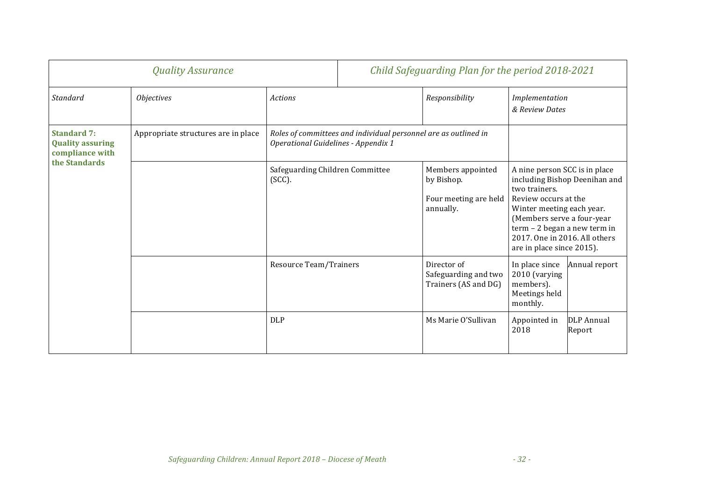|                                                                  | <b>Quality Assurance</b>            |                                           |                                                                 | Child Safeguarding Plan for the period 2018-2021                      |                                                                                                                                                                                                                                                                  |                             |
|------------------------------------------------------------------|-------------------------------------|-------------------------------------------|-----------------------------------------------------------------|-----------------------------------------------------------------------|------------------------------------------------------------------------------------------------------------------------------------------------------------------------------------------------------------------------------------------------------------------|-----------------------------|
| Standard                                                         | <i><b>Objectives</b></i>            | Actions                                   |                                                                 | Responsibility                                                        | Implementation<br>& Review Dates                                                                                                                                                                                                                                 |                             |
| <b>Standard 7:</b><br><b>Quality assuring</b><br>compliance with | Appropriate structures are in place | Operational Guidelines - Appendix 1       | Roles of committees and individual personnel are as outlined in |                                                                       |                                                                                                                                                                                                                                                                  |                             |
| the Standards                                                    |                                     | Safeguarding Children Committee<br>(SCC). |                                                                 | Members appointed<br>by Bishop.<br>Four meeting are held<br>annually. | A nine person SCC is in place<br>including Bishop Deenihan and<br>two trainers.<br>Review occurs at the<br>Winter meeting each year.<br>(Members serve a four-year<br>term - 2 began a new term in<br>2017. One in 2016. All others<br>are in place since 2015). |                             |
|                                                                  |                                     | Resource Team/Trainers                    |                                                                 | Director of<br>Safeguarding and two<br>Trainers (AS and DG)           | In place since<br>2010 (varying<br>members).<br>Meetings held<br>monthly.                                                                                                                                                                                        | Annual report               |
|                                                                  |                                     | <b>DLP</b>                                |                                                                 | Ms Marie O'Sullivan                                                   | Appointed in<br>2018                                                                                                                                                                                                                                             | <b>DLP</b> Annual<br>Report |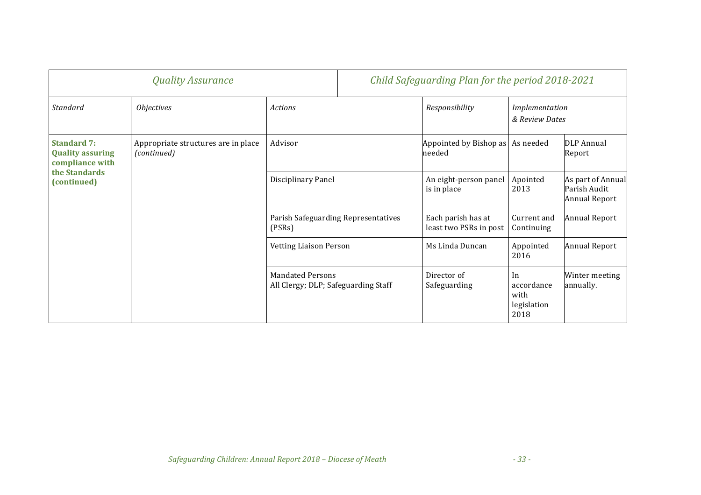|                                                                                                  | <b>Quality Assurance</b>                           |                                                                |  | Child Safeguarding Plan for the period 2018-2021 |                                                 |                                                           |
|--------------------------------------------------------------------------------------------------|----------------------------------------------------|----------------------------------------------------------------|--|--------------------------------------------------|-------------------------------------------------|-----------------------------------------------------------|
| Standard                                                                                         | <i><b>Objectives</b></i>                           | Actions                                                        |  | Responsibility                                   | Implementation<br>& Review Dates                |                                                           |
| <b>Standard 7:</b><br><b>Quality assuring</b><br>compliance with<br>the Standards<br>(continued) | Appropriate structures are in place<br>(continued) | Advisor                                                        |  | Appointed by Bishop as   As needed<br>needed     |                                                 | DLP Annual<br>Report                                      |
|                                                                                                  |                                                    | Disciplinary Panel                                             |  | An eight-person panel<br>is in place             | Apointed<br>2013                                | As part of Annual<br>Parish Audit<br><b>Annual Report</b> |
|                                                                                                  |                                                    | Parish Safeguarding Representatives<br>(PSRs)                  |  | Each parish has at<br>least two PSRs in post     | Current and<br>Continuing                       | <b>Annual Report</b>                                      |
|                                                                                                  |                                                    | <b>Vetting Liaison Person</b>                                  |  | Ms Linda Duncan                                  | Appointed<br>2016                               | <b>Annual Report</b>                                      |
|                                                                                                  |                                                    | <b>Mandated Persons</b><br>All Clergy; DLP; Safeguarding Staff |  | Director of<br>Safeguarding                      | In<br>accordance<br>with<br>legislation<br>2018 | Winter meeting<br>annually.                               |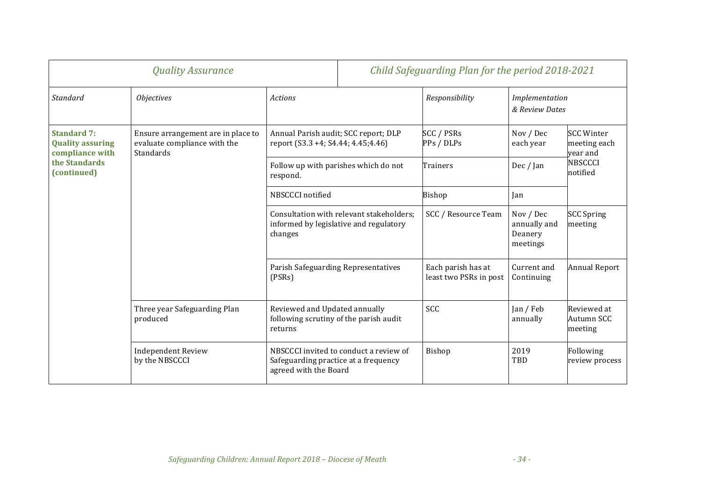| <b>Quality Assurance</b>                                         |                                                                                 | Child Safeguarding Plan for the period 2018-2021                                                                                                                                                                                                                                                                                                                                                                                                                                                                                                                                                                                                                                            |                                                                                                                     |                                                                             |                                  |                                      |  |
|------------------------------------------------------------------|---------------------------------------------------------------------------------|---------------------------------------------------------------------------------------------------------------------------------------------------------------------------------------------------------------------------------------------------------------------------------------------------------------------------------------------------------------------------------------------------------------------------------------------------------------------------------------------------------------------------------------------------------------------------------------------------------------------------------------------------------------------------------------------|---------------------------------------------------------------------------------------------------------------------|-----------------------------------------------------------------------------|----------------------------------|--------------------------------------|--|
| Standard                                                         | <i><b>Objectives</b></i>                                                        | <b>Actions</b>                                                                                                                                                                                                                                                                                                                                                                                                                                                                                                                                                                                                                                                                              |                                                                                                                     | Responsibility                                                              | Implementation<br>& Review Dates |                                      |  |
| <b>Standard 7:</b><br><b>Quality assuring</b><br>compliance with | Ensure arrangement are in place to<br>evaluate compliance with the<br>Standards | <b>SCC / PSRs</b><br>Annual Parish audit; SCC report; DLP<br>report (S3.3 +4; S4.44; 4.45; 4.46)<br>PPs / DLPs<br>Follow up with parishes which do not<br><b>Trainers</b><br>respond.<br>NBSCCCI notified<br><b>Bishop</b><br>Jan<br>SCC / Resource Team<br>Consultation with relevant stakeholders;<br>informed by legislative and regulatory<br>changes<br>Parish Safeguarding Representatives<br>Each parish has at<br>least two PSRs in post<br>(PSRs)<br>SCC<br>Reviewed and Updated annually<br>following scrutiny of the parish audit<br>returns<br>2019<br>NBSCCCI invited to conduct a review of<br>Bishop<br>Safeguarding practice at a frequency<br>TBD<br>agreed with the Board | Nov / Dec<br>each year                                                                                              | <b>SCC Winter</b><br>meeting each<br>vear and<br><b>NBSCCCI</b><br>notified |                                  |                                      |  |
| the Standards<br>(continued)                                     |                                                                                 |                                                                                                                                                                                                                                                                                                                                                                                                                                                                                                                                                                                                                                                                                             | Dec / Jan<br>Nov / Dec<br>annually and<br>Deanery<br>meetings<br>Current and<br>Continuing<br>Jan / Feb<br>annually |                                                                             |                                  |                                      |  |
|                                                                  |                                                                                 |                                                                                                                                                                                                                                                                                                                                                                                                                                                                                                                                                                                                                                                                                             |                                                                                                                     |                                                                             |                                  |                                      |  |
|                                                                  |                                                                                 |                                                                                                                                                                                                                                                                                                                                                                                                                                                                                                                                                                                                                                                                                             |                                                                                                                     |                                                                             |                                  | <b>SCC Spring</b><br>meeting         |  |
|                                                                  |                                                                                 |                                                                                                                                                                                                                                                                                                                                                                                                                                                                                                                                                                                                                                                                                             |                                                                                                                     |                                                                             |                                  | <b>Annual Report</b>                 |  |
|                                                                  | Three year Safeguarding Plan<br>produced                                        |                                                                                                                                                                                                                                                                                                                                                                                                                                                                                                                                                                                                                                                                                             |                                                                                                                     |                                                                             |                                  | Reviewed at<br>Autumn SCC<br>meeting |  |
|                                                                  | <b>Independent Review</b><br>by the NBSCCCI                                     |                                                                                                                                                                                                                                                                                                                                                                                                                                                                                                                                                                                                                                                                                             |                                                                                                                     |                                                                             |                                  | Following<br>review process          |  |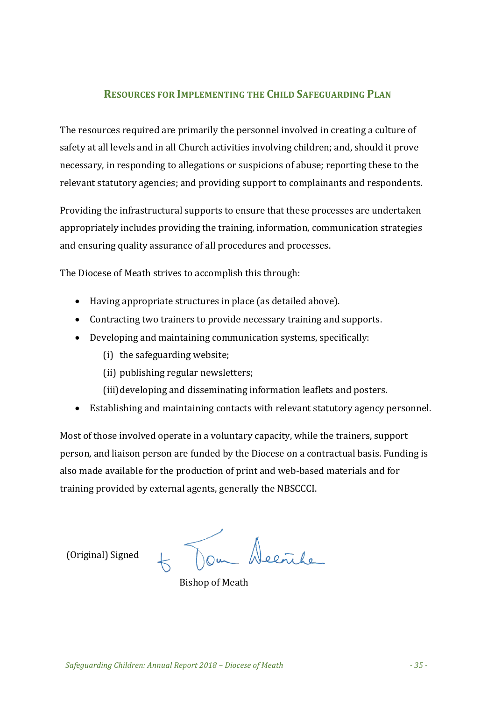#### **RESOURCES FOR IMPLEMENTING THE CHILD SAFEGUARDING PLAN**

The resources required are primarily the personnel involved in creating a culture of safety at all levels and in all Church activities involving children; and, should it prove necessary, in responding to allegations or suspicions of abuse; reporting these to the relevant statutory agencies; and providing support to complainants and respondents.

Providing the infrastructural supports to ensure that these processes are undertaken appropriately includes providing the training, information, communication strategies and ensuring quality assurance of all procedures and processes.

The Diocese of Meath strives to accomplish this through:

- Having appropriate structures in place (as detailed above).
- Contracting two trainers to provide necessary training and supports.
- Developing and maintaining communication systems, specifically:
	- (i) the safeguarding website;
	- (ii) publishing regular newsletters;
	- (iii)developing and disseminating information leaflets and posters.
- Establishing and maintaining contacts with relevant statutory agency personnel.

Most of those involved operate in a voluntary capacity, while the trainers, support person, and liaison person are funded by the Diocese on a contractual basis. Funding is also made available for the production of print and web-based materials and for training provided by external agents, generally the NBSCCCI.

 (Original) Signed 

Nom Decribe

**Bishop of Meath**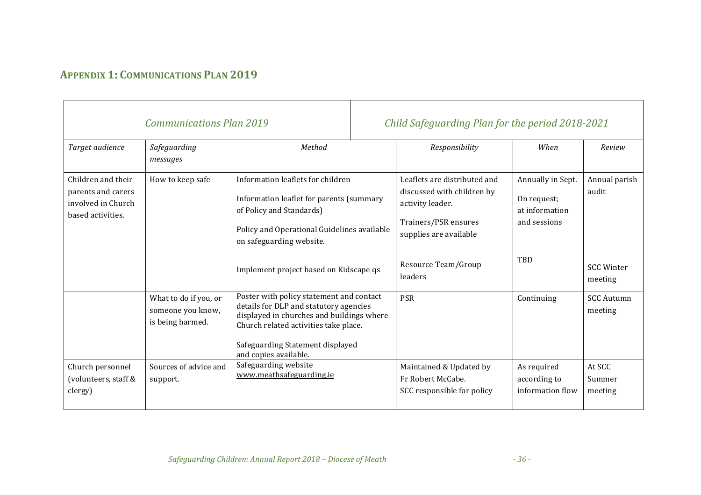## **APPENDIX 1: COMMUNICATIONS PLAN 2019**

|                                                                                     | <b>Communications Plan 2019</b>                                |                                                                                                                                                                                                                                       | Child Safeguarding Plan for the period 2018-2021                                                                                 |                                                                    |                              |
|-------------------------------------------------------------------------------------|----------------------------------------------------------------|---------------------------------------------------------------------------------------------------------------------------------------------------------------------------------------------------------------------------------------|----------------------------------------------------------------------------------------------------------------------------------|--------------------------------------------------------------------|------------------------------|
| Target audience                                                                     | Safeguarding<br>messages                                       | Method                                                                                                                                                                                                                                | Responsibility                                                                                                                   | When                                                               | Review                       |
| Children and their<br>parents and carers<br>involved in Church<br>based activities. | How to keep safe                                               | Information leaflets for children<br>Information leaflet for parents (summary<br>of Policy and Standards)<br>Policy and Operational Guidelines available<br>on safeguarding website.                                                  | Leaflets are distributed and<br>discussed with children by<br>activity leader.<br>Trainers/PSR ensures<br>supplies are available | Annually in Sept.<br>On request;<br>at information<br>and sessions | Annual parish<br>audit       |
|                                                                                     |                                                                | Implement project based on Kidscape qs                                                                                                                                                                                                | Resource Team/Group<br>leaders                                                                                                   | TBD                                                                | <b>SCC Winter</b><br>meeting |
|                                                                                     | What to do if you, or<br>someone you know,<br>is being harmed. | Poster with policy statement and contact<br>details for DLP and statutory agencies<br>displayed in churches and buildings where<br>Church related activities take place.<br>Safeguarding Statement displayed<br>and copies available. | <b>PSR</b>                                                                                                                       | Continuing                                                         | <b>SCC Autumn</b><br>meeting |
| Church personnel<br>(volunteers, staff &<br>clergy)                                 | Sources of advice and<br>support.                              | Safeguarding website<br>www.meathsafeguarding.ie                                                                                                                                                                                      | Maintained & Updated by<br>Fr Robert McCabe.<br>SCC responsible for policy                                                       | As required<br>according to<br>information flow                    | At SCC<br>Summer<br>meeting  |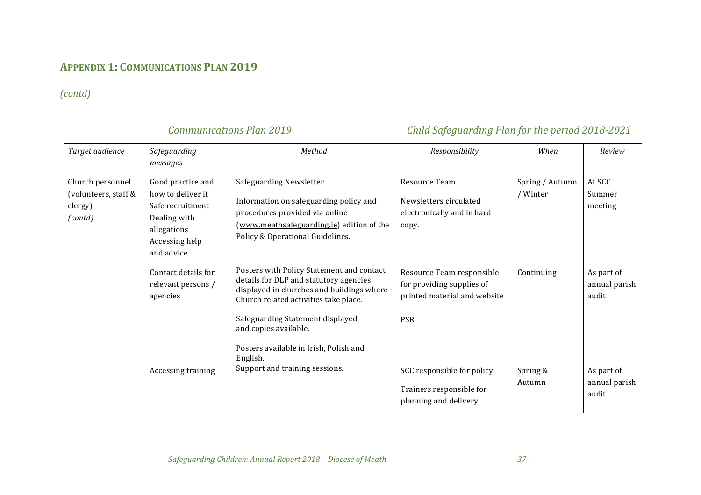## **APPENDIX 1: COMMUNICATIONS PLAN 2019**

## *(contd)*

|                                                                |                                                                                                                           | <b>Communications Plan 2019</b>                                                                                                                                                                                                                                                              | Child Safeguarding Plan for the period 2018-2021                                                     |                             |                                      |
|----------------------------------------------------------------|---------------------------------------------------------------------------------------------------------------------------|----------------------------------------------------------------------------------------------------------------------------------------------------------------------------------------------------------------------------------------------------------------------------------------------|------------------------------------------------------------------------------------------------------|-----------------------------|--------------------------------------|
| Target audience                                                | Safeguarding<br>messages                                                                                                  | Method                                                                                                                                                                                                                                                                                       | Responsibility                                                                                       | When                        | Review                               |
| Church personnel<br>(volunteers, staff &<br>clergy)<br>(contd) | Good practice and<br>how to deliver it<br>Safe recruitment<br>Dealing with<br>allegations<br>Accessing help<br>and advice | <b>Safeguarding Newsletter</b><br>Information on safeguarding policy and<br>procedures provided via online<br>(www.meathsafeguarding.ie) edition of the<br>Policy & Operational Guidelines.                                                                                                  | Resource Team<br>Newsletters circulated<br>electronically and in hard<br>copy.                       | Spring / Autumn<br>/ Winter | At SCC<br>Summer<br>meeting          |
|                                                                | Contact details for<br>relevant persons /<br>agencies                                                                     | Posters with Policy Statement and contact<br>details for DLP and statutory agencies<br>displayed in churches and buildings where<br>Church related activities take place.<br>Safeguarding Statement displayed<br>and copies available.<br>Posters available in Irish, Polish and<br>English. | Resource Team responsible<br>for providing supplies of<br>printed material and website<br><b>PSR</b> | Continuing                  | As part of<br>annual parish<br>audit |
|                                                                | Accessing training                                                                                                        | Support and training sessions.                                                                                                                                                                                                                                                               | SCC responsible for policy<br>Trainers responsible for<br>planning and delivery.                     | Spring &<br>Autumn          | As part of<br>annual parish<br>audit |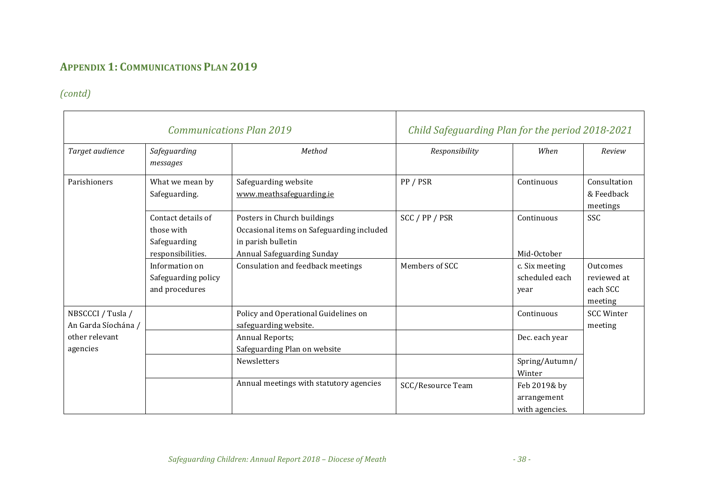## **APPENDIX 1: COMMUNICATIONS PLAN 2019**

## *(contd)*

|                                          |                                                                       | <b>Communications Plan 2019</b>                                                                                              | Child Safeguarding Plan for the period 2018-2021 |                                               |                                                |
|------------------------------------------|-----------------------------------------------------------------------|------------------------------------------------------------------------------------------------------------------------------|--------------------------------------------------|-----------------------------------------------|------------------------------------------------|
| Target audience                          | Safeguarding<br>messages                                              | Method                                                                                                                       | Responsibility                                   | When                                          | Review                                         |
| Parishioners                             | What we mean by<br>Safeguarding.                                      | Safeguarding website<br>www.meathsafeguarding.ie                                                                             | PP / PSR                                         | Continuous                                    | Consultation<br>& Feedback<br>meetings         |
|                                          | Contact details of<br>those with<br>Safeguarding<br>responsibilities. | Posters in Church buildings<br>Occasional items on Safeguarding included<br>in parish bulletin<br>Annual Safeguarding Sunday | SCC / PP / PSR                                   | Continuous<br>Mid-October                     | SSC                                            |
|                                          | Information on<br>Safeguarding policy<br>and procedures               | Consulation and feedback meetings                                                                                            | Members of SCC                                   | c. Six meeting<br>scheduled each<br>year      | Outcomes<br>reviewed at<br>each SCC<br>meeting |
| NBSCCCI / Tusla /<br>An Garda Síochána / |                                                                       | Policy and Operational Guidelines on<br>safeguarding website.                                                                |                                                  | Continuous                                    | <b>SCC Winter</b><br>meeting                   |
| other relevant<br>agencies               |                                                                       | <b>Annual Reports;</b><br>Safeguarding Plan on website                                                                       |                                                  | Dec. each year                                |                                                |
|                                          |                                                                       | Newsletters                                                                                                                  |                                                  | Spring/Autumn/<br>Winter                      |                                                |
|                                          |                                                                       | Annual meetings with statutory agencies                                                                                      | SCC/Resource Team                                | Feb 2019& by<br>arrangement<br>with agencies. |                                                |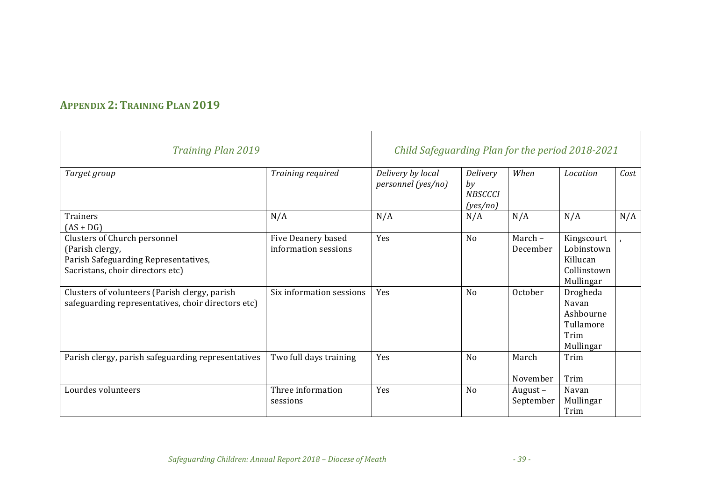## **APPENDIX 2: TRAINING PLAN 2019**

| <b>Training Plan 2019</b>                                                                                                   | Child Safeguarding Plan for the period 2018-2021 |                                         |                                              |                         |                                                                  |      |
|-----------------------------------------------------------------------------------------------------------------------------|--------------------------------------------------|-----------------------------------------|----------------------------------------------|-------------------------|------------------------------------------------------------------|------|
| Target group                                                                                                                | Training required                                | Delivery by local<br>personnel (yes/no) | Delivery<br>by<br><b>NBSCCCI</b><br>(yes/no) | When                    | Location                                                         | Cost |
| Trainers<br>$(AS + DG)$                                                                                                     | N/A                                              | N/A                                     | N/A                                          | N/A                     | N/A                                                              | N/A  |
| Clusters of Church personnel<br>(Parish clergy,<br>Parish Safeguarding Representatives,<br>Sacristans, choir directors etc) | Five Deanery based<br>information sessions       | Yes                                     | N <sub>o</sub>                               | March-<br>December      | Kingscourt<br>Lobinstown<br>Killucan<br>Collinstown<br>Mullingar |      |
| Clusters of volunteers (Parish clergy, parish<br>safeguarding representatives, choir directors etc)                         | Six information sessions                         | Yes                                     | N <sub>o</sub>                               | October                 | Drogheda<br>Navan<br>Ashbourne<br>Tullamore<br>Trim<br>Mullingar |      |
| Parish clergy, parish safeguarding representatives                                                                          | Two full days training                           | Yes                                     | N <sub>0</sub>                               | March<br>November       | Trim<br>Trim                                                     |      |
| Lourdes volunteers                                                                                                          | Three information<br>sessions                    | Yes                                     | N <sub>0</sub>                               | August $-$<br>September | Navan<br>Mullingar<br>Trim                                       |      |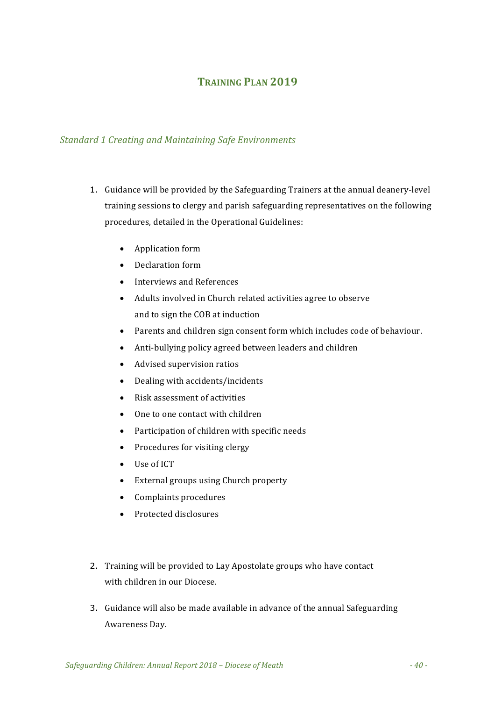## **TRAINING PLAN 2019**

#### **Standard 1 Creating and Maintaining Safe Environments**

- 1. Guidance will be provided by the Safeguarding Trainers at the annual deanery-level training sessions to clergy and parish safeguarding representatives on the following procedures, detailed in the Operational Guidelines:
	- Application form
	- Declaration form
	- Interviews and References
	- Adults involved in Church related activities agree to observe and to sign the COB at induction
	- Parents and children sign consent form which includes code of behaviour.
	- Anti-bullying policy agreed between leaders and children
	- Advised supervision ratios
	- Dealing with accidents/incidents
	- $\bullet$  Risk assessment of activities
	- One to one contact with children
	- Participation of children with specific needs
	- Procedures for visiting clergy
	- Use of ICT
	- External groups using Church property
	- Complaints procedures
	- Protected disclosures
- 2. Training will be provided to Lay Apostolate groups who have contact with children in our Diocese.
- 3. Guidance will also be made available in advance of the annual Safeguarding Awareness Day.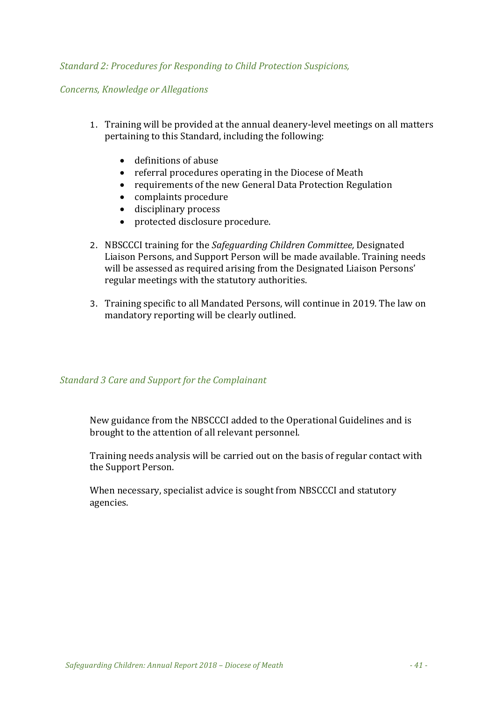#### *Standard 2: Procedures for Responding to Child Protection Suspicions,*

#### *Concerns, Knowledge or Allegations*

- 1. Training will be provided at the annual deanery-level meetings on all matters pertaining to this Standard, including the following:
	- definitions of abuse
	- referral procedures operating in the Diocese of Meath
	- requirements of the new General Data Protection Regulation
	- complaints procedure
	- disciplinary process
	- protected disclosure procedure.
- 2. NBSCCCI training for the *Safeguarding Children Committee*, Designated Liaison Persons, and Support Person will be made available. Training needs will be assessed as required arising from the Designated Liaison Persons' regular meetings with the statutory authorities.
- 3. Training specific to all Mandated Persons, will continue in 2019. The law on mandatory reporting will be clearly outlined.

#### **Standard 3 Care and Support for the Complainant**

New guidance from the NBSCCCI added to the Operational Guidelines and is brought to the attention of all relevant personnel.

Training needs analysis will be carried out on the basis of regular contact with the Support Person.

When necessary, specialist advice is sought from NBSCCCI and statutory agencies.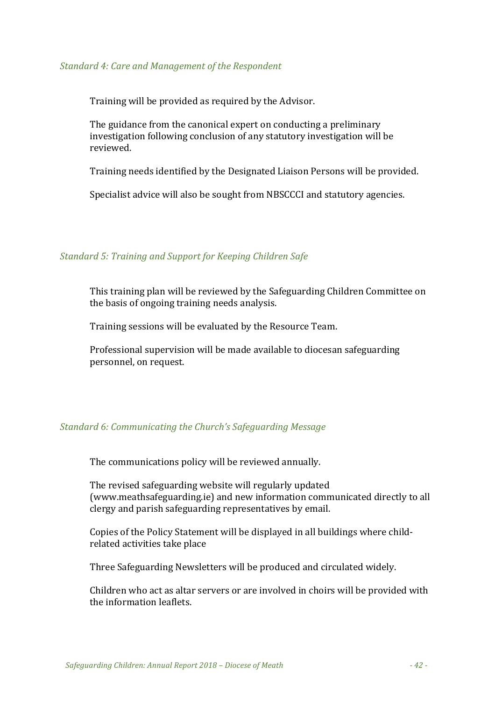#### *Standard 4: Care and Management of the Respondent*

Training will be provided as required by the Advisor.

The guidance from the canonical expert on conducting a preliminary investigation following conclusion of any statutory investigation will be reviewed. 

Training needs identified by the Designated Liaison Persons will be provided.

Specialist advice will also be sought from NBSCCCI and statutory agencies.

#### *Standard 5: Training and Support for Keeping Children Safe*

This training plan will be reviewed by the Safeguarding Children Committee on the basis of ongoing training needs analysis.

Training sessions will be evaluated by the Resource Team.

Professional supervision will be made available to diocesan safeguarding personnel, on request.

#### *Standard 6: Communicating the Church's Safeguarding Message*

The communications policy will be reviewed annually.

The revised safeguarding website will regularly updated (www.meathsafeguarding.ie) and new information communicated directly to all clergy and parish safeguarding representatives by email.

Copies of the Policy Statement will be displayed in all buildings where childrelated activities take place

Three Safeguarding Newsletters will be produced and circulated widely.

Children who act as altar servers or are involved in choirs will be provided with the information leaflets.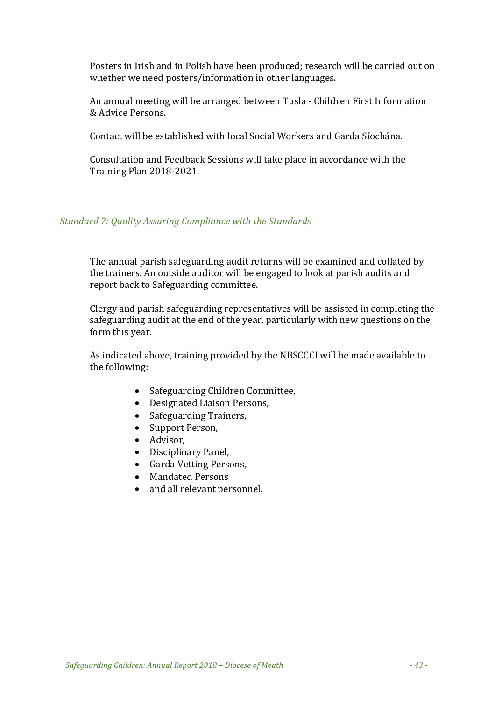Posters in Irish and in Polish have been produced; research will be carried out on whether we need posters/information in other languages.

An annual meeting will be arranged between Tusla - Children First Information & Advice Persons.

Contact will be established with local Social Workers and Garda Síochána.

Consultation and Feedback Sessions will take place in accordance with the Training Plan 2018-2021.

#### *Standard 7: Quality Assuring Compliance with the Standards*

The annual parish safeguarding audit returns will be examined and collated by the trainers. An outside auditor will be engaged to look at parish audits and report back to Safeguarding committee.

Clergy and parish safeguarding representatives will be assisted in completing the safeguarding audit at the end of the year, particularly with new questions on the form this year.

As indicated above, training provided by the NBSCCCI will be made available to the following:

- Safeguarding Children Committee,
- Designated Liaison Persons,
- Safeguarding Trainers,
- Support Person,
- Advisor,
- Disciplinary Panel,
- Garda Vetting Persons,
- Mandated Persons
- and all relevant personnel.